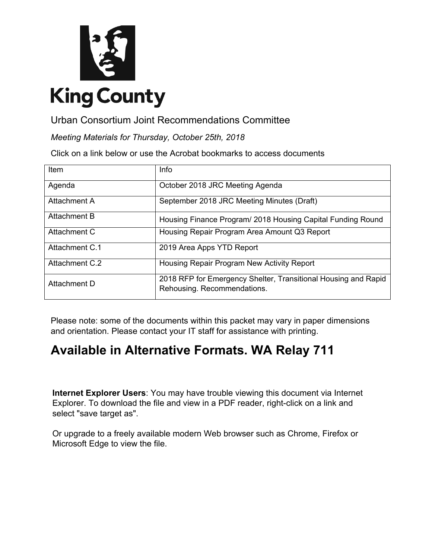

Urban Consortium Joint Recommendations Committee

*Meeting Materials for Thursday, October 25th, 2018*

Click on a link below or use the Acrobat bookmarks to access documents

| Item           | Info                                                                                          |
|----------------|-----------------------------------------------------------------------------------------------|
| Agenda         | October 2018 JRC Meeting Agenda                                                               |
| Attachment A   | September 2018 JRC Meeting Minutes (Draft)                                                    |
| Attachment B   | Housing Finance Program/ 2018 Housing Capital Funding Round                                   |
| Attachment C   | Housing Repair Program Area Amount Q3 Report                                                  |
| Attachment C.1 | 2019 Area Apps YTD Report                                                                     |
| Attachment C.2 | Housing Repair Program New Activity Report                                                    |
| Attachment D   | 2018 RFP for Emergency Shelter, Transitional Housing and Rapid<br>Rehousing. Recommendations. |

Please note: some of the documents within this packet may vary in paper dimensions and orientation. Please contact your IT staff for assistance with printing.

## **Available in Alternative Formats. WA Relay 711**

**Internet Explorer Users**: You may have trouble viewing this document via Internet Explorer. To download the file and view in a PDF reader, right-click on a link and select "save target as".

Or upgrade to a freely available modern Web browser such a[s Chrome,](https://www.google.com/chrome/) [Firefox](https://www.mozilla.org/en-US/firefox/new/) or [Microsoft Edge](https://www.microsoft.com/en-us/windows/microsoft-edge) to view the file.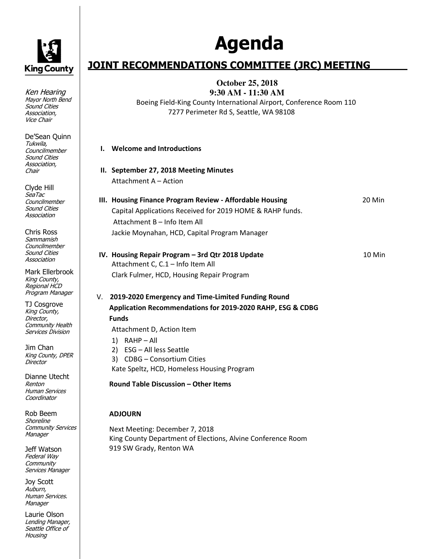<span id="page-1-0"></span>

Ken Hearing Mayor North Bend Sound Cities Association, Vice Chair

De'Sean Quinn Tukwila, Councilmember Sound Cities Association, Chair

Clyde Hill SeaTac **Councilmember** Sound Cities Association

Chris Ross Sammamish **Councilmember** Sound Cities Association

Mark Ellerbrook King County, Regional HCD Program Manager

TJ Cosgrove King County, Director, Community Health Services Division

Jim Chan King County, DPER **Director** 

Dianne Utecht Renton Human Services **Coordinator** 

Rob Beem **Shoreline** Community Services Manager

Jeff Watson Federal Way **Community** Services Manager

Joy Scott Auburn, Human Services. **Manager** 

Laurie Olson Lending Manager, Seattle Office of Housing

# **Agenda**

## **JOINT RECOMMENDATIONS COMMITTEE (JRC) MEETING**

**October 25, 2018 9:30 AM - 11:30 AM** 

Boeing Field-King County International Airport, Conference Room 110 7277 Perimeter Rd S, Seattle, WA 98108

| I. Welcome and Introductions           |
|----------------------------------------|
| II. September 27, 2018 Meeting Minutes |

Attachment A – Action **III. Housing Finance Program Review - Affordable Housing** 20 Min

Capital Applications Received for 2019 HOME & RAHP funds. Attachment B – Info Item All Jackie Moynahan, HCD, Capital Program Manager

**IV. Housing Repair Program – 3rd Qtr 2018 Update** 10 Min Attachment C, C.1 – Info Item All Clark Fulmer, HCD, Housing Repair Program V. **2019-2020 Emergency and Time-Limited Funding Round Application Recommendations for 2019-2020 RAHP, ESG & CDBG** 

## **Funds**

Attachment D, Action Item

- 1) RAHP All
- 2) ESG All less Seattle 3) CDBG – Consortium Cities

Kate Speltz, HCD, Homeless Housing Program

**Round Table Discussion – Other Items** 

## **ADJOURN**

Next Meeting: December 7, 2018 King County Department of Elections, Alvine Conference Room 919 SW Grady, Renton WA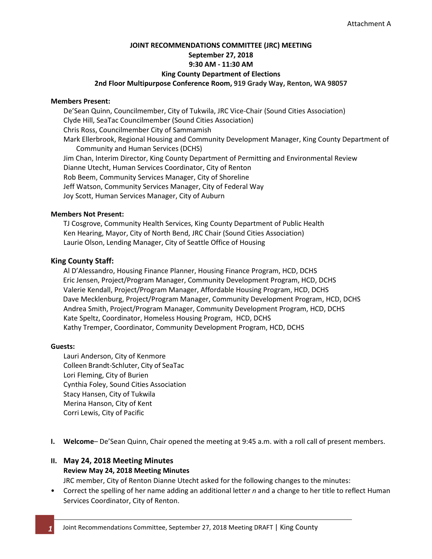## <span id="page-2-0"></span>**JOINT RECOMMENDATIONS COMMITTEE (JRC) MEETING September 27, 2018 9:30 AM - 11:30 AM King County Department of Elections 2nd Floor Multipurpose Conference Room, 919 Grady Way, Renton, WA 98057**

#### **Members Present:**

De'Sean Quinn, Councilmember, City of Tukwila, JRC Vice-Chair (Sound Cities Association) Clyde Hill, SeaTac Councilmember (Sound Cities Association) Chris Ross, Councilmember City of Sammamish Mark Ellerbrook, Regional Housing and Community Development Manager, King County Department of Community and Human Services (DCHS) Jim Chan, Interim Director, King County Department of Permitting and Environmental Review Dianne Utecht, Human Services Coordinator, City of Renton Rob Beem, Community Services Manager, City of Shoreline Jeff Watson, Community Services Manager, City of Federal Way Joy Scott, Human Services Manager, City of Auburn

#### **Members Not Present:**

TJ Cosgrove, Community Health Services, King County Department of Public Health Ken Hearing, Mayor, City of North Bend, JRC Chair (Sound Cities Association) Laurie Olson, Lending Manager, City of Seattle Office of Housing

#### **King County Staff:**

Al D'Alessandro, Housing Finance Planner, Housing Finance Program, HCD, DCHS Eric Jensen, Project/Program Manager, Community Development Program, HCD, DCHS Valerie Kendall, Project/Program Manager, Affordable Housing Program, HCD, DCHS Dave Mecklenburg, Project/Program Manager, Community Development Program, HCD, DCHS Andrea Smith, Project/Program Manager, Community Development Program, HCD, DCHS Kate Speltz, Coordinator, Homeless Housing Program, HCD, DCHS Kathy Tremper, Coordinator, Community Development Program, HCD, DCHS

#### **Guests:**

Lauri Anderson, City of Kenmore Colleen Brandt-Schluter, City of SeaTac Lori Fleming, City of Burien Cynthia Foley, Sound Cities Association Stacy Hansen, City of Tukwila Merina Hanson, City of Kent Corri Lewis, City of Pacific

**I. Welcome**– De'Sean Quinn, Chair opened the meeting at 9:45 a.m. with a roll call of present members.

## **II. May 24, 2018 Meeting Minutes Review May 24, 2018 Meeting Minutes**

JRC member, City of Renton Dianne Utecht asked for the following changes to the minutes:

• Correct the spelling of her name adding an additional letter *n* and a change to her title to reflect Human Services Coordinator, City of Renton.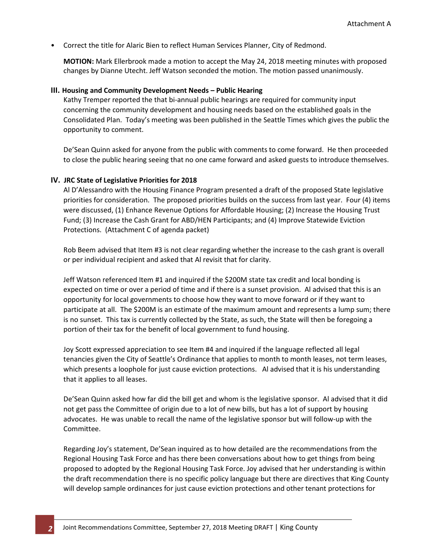• Correct the title for Alaric Bien to reflect Human Services Planner, City of Redmond.

**MOTION:** Mark Ellerbrook made a motion to accept the May 24, 2018 meeting minutes with proposed changes by Dianne Utecht. Jeff Watson seconded the motion. The motion passed unanimously.

#### **III. Housing and Community Development Needs – Public Hearing**

Kathy Tremper reported the that bi-annual public hearings are required for community input concerning the community development and housing needs based on the established goals in the Consolidated Plan. Today's meeting was been published in the Seattle Times which gives the public the opportunity to comment.

De'Sean Quinn asked for anyone from the public with comments to come forward. He then proceeded to close the public hearing seeing that no one came forward and asked guests to introduce themselves.

#### **IV. JRC State of Legislative Priorities for 2018**

Al D'Alessandro with the Housing Finance Program presented a draft of the proposed State legislative priorities for consideration. The proposed priorities builds on the success from last year. Four (4) items were discussed, (1) Enhance Revenue Options for Affordable Housing; (2) Increase the Housing Trust Fund; (3) Increase the Cash Grant for ABD/HEN Participants; and (4) Improve Statewide Eviction Protections. (Attachment C of agenda packet)

Rob Beem advised that Item #3 is not clear regarding whether the increase to the cash grant is overall or per individual recipient and asked that Al revisit that for clarity.

Jeff Watson referenced Item #1 and inquired if the \$200M state tax credit and local bonding is expected on time or over a period of time and if there is a sunset provision. Al advised that this is an opportunity for local governments to choose how they want to move forward or if they want to participate at all. The \$200M is an estimate of the maximum amount and represents a lump sum; there is no sunset. This tax is currently collected by the State, as such, the State will then be foregoing a portion of their tax for the benefit of local government to fund housing.

Joy Scott expressed appreciation to see Item #4 and inquired if the language reflected all legal tenancies given the City of Seattle's Ordinance that applies to month to month leases, not term leases, which presents a loophole for just cause eviction protections. Al advised that it is his understanding that it applies to all leases.

De'Sean Quinn asked how far did the bill get and whom is the legislative sponsor. Al advised that it did not get pass the Committee of origin due to a lot of new bills, but has a lot of support by housing advocates. He was unable to recall the name of the legislative sponsor but will follow-up with the Committee.

Regarding Joy's statement, De'Sean inquired as to how detailed are the recommendations from the Regional Housing Task Force and has there been conversations about how to get things from being proposed to adopted by the Regional Housing Task Force. Joy advised that her understanding is within the draft recommendation there is no specific policy language but there are directives that King County will develop sample ordinances for just cause eviction protections and other tenant protections for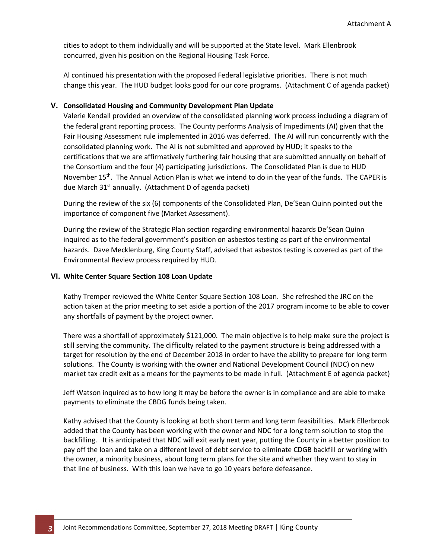cities to adopt to them individually and will be supported at the State level. Mark Ellenbrook concurred, given his position on the Regional Housing Task Force.

Al continued his presentation with the proposed Federal legislative priorities. There is not much change this year. The HUD budget looks good for our core programs. (Attachment C of agenda packet)

#### **V. Consolidated Housing and Community Development Plan Update**

Valerie Kendall provided an overview of the consolidated planning work process including a diagram of the federal grant reporting process. The County performs Analysis of Impediments (AI) given that the Fair Housing Assessment rule implemented in 2016 was deferred. The AI will run concurrently with the consolidated planning work. The AI is not submitted and approved by HUD; it speaks to the certifications that we are affirmatively furthering fair housing that are submitted annually on behalf of the Consortium and the four (4) participating jurisdictions. The Consolidated Plan is due to HUD November 15<sup>th</sup>. The Annual Action Plan is what we intend to do in the year of the funds. The CAPER is due March 31<sup>st</sup> annually. (Attachment D of agenda packet)

During the review of the six (6) components of the Consolidated Plan, De'Sean Quinn pointed out the importance of component five (Market Assessment).

During the review of the Strategic Plan section regarding environmental hazards De'Sean Quinn inquired as to the federal government's position on asbestos testing as part of the environmental hazards. Dave Mecklenburg, King County Staff, advised that asbestos testing is covered as part of the Environmental Review process required by HUD.

#### **VI. White Center Square Section 108 Loan Update**

Kathy Tremper reviewed the White Center Square Section 108 Loan. She refreshed the JRC on the action taken at the prior meeting to set aside a portion of the 2017 program income to be able to cover any shortfalls of payment by the project owner.

There was a shortfall of approximately \$121,000. The main objective is to help make sure the project is still serving the community. The difficulty related to the payment structure is being addressed with a target for resolution by the end of December 2018 in order to have the ability to prepare for long term solutions. The County is working with the owner and National Development Council (NDC) on new market tax credit exit as a means for the payments to be made in full. (Attachment E of agenda packet)

Jeff Watson inquired as to how long it may be before the owner is in compliance and are able to make payments to eliminate the CBDG funds being taken.

Kathy advised that the County is looking at both short term and long term feasibilities. Mark Ellerbrook added that the County has been working with the owner and NDC for a long term solution to stop the backfilling. It is anticipated that NDC will exit early next year, putting the County in a better position to pay off the loan and take on a different level of debt service to eliminate CDGB backfill or working with the owner, a minority business, about long term plans for the site and whether they want to stay in that line of business. With this loan we have to go 10 years before defeasance.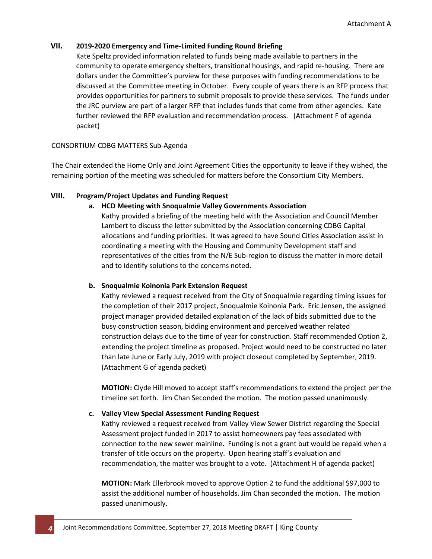## **VII. 2019-2020 Emergency and Time-Limited Funding Round Briefing**

Kate Speltz provided information related to funds being made available to partners in the community to operate emergency shelters, transitional housings, and rapid re-housing. There are dollars under the Committee's purview for these purposes with funding recommendations to be discussed at the Committee meeting in October. Every couple of years there is an RFP process that provides opportunities for partners to submit proposals to provide these services. The funds under the JRC purview are part of a larger RFP that includes funds that come from other agencies. Kate further reviewed the RFP evaluation and recommendation process. (Attachment F of agenda packet)

#### CONSORTIUM CDBG MATTERS Sub-Agenda

The Chair extended the Home Only and Joint Agreement Cities the opportunity to leave if they wished, the remaining portion of the meeting was scheduled for matters before the Consortium City Members.

## **VIII. Program/Project Updates and Funding Request**

#### **a. HCD Meeting with Snoqualmie Valley Governments Association**

Kathy provided a briefing of the meeting held with the Association and Council Member Lambert to discuss the letter submitted by the Association concerning CDBG Capital allocations and funding priorities. It was agreed to have Sound Cities Association assist in coordinating a meeting with the Housing and Community Development staff and representatives of the cities from the N/E Sub-region to discuss the matter in more detail and to identify solutions to the concerns noted.

## **b. Snoqualmie Koinonia Park Extension Request**

Kathy reviewed a request received from the City of Snoqualmie regarding timing issues for the completion of their 2017 project, Snoqualmie Koinonia Park. Eric Jensen, the assigned project manager provided detailed explanation of the lack of bids submitted due to the busy construction season, bidding environment and perceived weather related construction delays due to the time of year for construction. Staff recommended Option 2, extending the project timeline as proposed. Project would need to be constructed no later than late June or Early July, 2019 with project closeout completed by September, 2019. (Attachment G of agenda packet)

**MOTION:** Clyde Hill moved to accept staff's recommendations to extend the project per the timeline set forth. Jim Chan Seconded the motion. The motion passed unanimously.

## **c. Valley View Special Assessment Funding Request**

Kathy reviewed a request received from Valley View Sewer District regarding the Special Assessment project funded in 2017 to assist homeowners pay fees associated with connection to the new sewer mainline. Funding is not a grant but would be repaid when a transfer of title occurs on the property. Upon hearing staff's evaluation and recommendation, the matter was brought to a vote. (Attachment H of agenda packet)

**MOTION:** Mark Ellerbrook moved to approve Option 2 to fund the additional \$97,000 to assist the additional number of households. Jim Chan seconded the motion. The motion passed unanimously.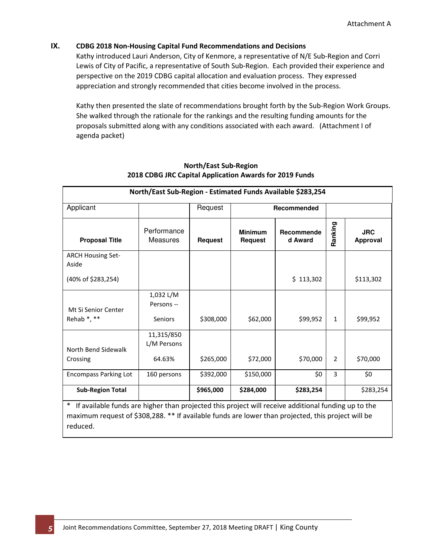## **IX. CDBG 2018 Non-Housing Capital Fund Recommendations and Decisions**

Kathy introduced Lauri Anderson, City of Kenmore, a representative of N/E Sub-Region and Corri Lewis of City of Pacific, a representative of South Sub-Region. Each provided their experience and perspective on the 2019 CDBG capital allocation and evaluation process. They expressed appreciation and strongly recommended that cities become involved in the process.

Kathy then presented the slate of recommendations brought forth by the Sub-Region Work Groups. She walked through the rationale for the rankings and the resulting funding amounts for the proposals submitted along with any conditions associated with each award. (Attachment I of agenda packet)

| North/East Sub-Region - Estimated Funds Available \$283,254 |                                                                               |           |                       |             |                        |           |  |  |  |  |  |  |  |
|-------------------------------------------------------------|-------------------------------------------------------------------------------|-----------|-----------------------|-------------|------------------------|-----------|--|--|--|--|--|--|--|
| Applicant                                                   |                                                                               | Request   |                       | Recommended |                        |           |  |  |  |  |  |  |  |
| <b>Proposal Title</b>                                       | Performance<br><b>Minimum</b><br>Measures<br><b>Request</b><br><b>Request</b> |           | Recommende<br>d Award | Ranking     | <b>JRC</b><br>Approval |           |  |  |  |  |  |  |  |
| <b>ARCH Housing Set-</b><br>Aside                           |                                                                               |           |                       |             |                        |           |  |  |  |  |  |  |  |
| (40% of \$283,254)                                          |                                                                               |           |                       | \$113,302   |                        | \$113,302 |  |  |  |  |  |  |  |
| Mt Si Senior Center<br>Rehab *, **                          | 1,032 L/M<br>Persons --<br>Seniors                                            | \$308,000 | \$62,000              | \$99,952    | $\mathbf{1}$           | \$99,952  |  |  |  |  |  |  |  |
|                                                             | 11,315/850<br>L/M Persons                                                     |           |                       |             |                        |           |  |  |  |  |  |  |  |
| North Bend Sidewalk<br>Crossing                             | 64.63%                                                                        | \$265,000 | \$72,000              | \$70,000    | $\overline{2}$         | \$70,000  |  |  |  |  |  |  |  |
| <b>Encompass Parking Lot</b>                                | 160 persons                                                                   | \$392,000 | \$150,000             | \$0         | 3                      | \$0       |  |  |  |  |  |  |  |
| <b>Sub-Region Total</b>                                     |                                                                               | \$965,000 | \$284,000             | \$283,254   |                        | \$283,254 |  |  |  |  |  |  |  |

## **North/East Sub-Region 2018 CDBG JRC Capital Application Awards for 2019 Funds**

\* If available funds are higher than projected this project will receive additional funding up to the maximum request of \$308,288. \*\* If available funds are lower than projected, this project will be reduced.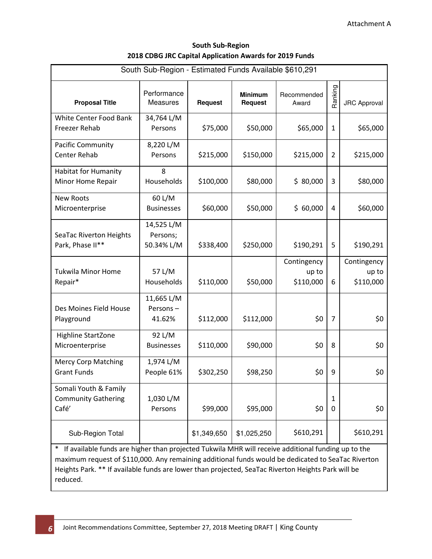| <b>South Sub-Region</b>                                 |
|---------------------------------------------------------|
| 2018 CDBG JRC Capital Application Awards for 2019 Funds |

| South Sub-Region - Estimated Funds Available \$610,291                                                                                                                                                                                                                                                                                                                                                                                                                                                                                                  |                                      |                |                                  |                                   |                |                                   |  |  |  |  |  |  |  |
|---------------------------------------------------------------------------------------------------------------------------------------------------------------------------------------------------------------------------------------------------------------------------------------------------------------------------------------------------------------------------------------------------------------------------------------------------------------------------------------------------------------------------------------------------------|--------------------------------------|----------------|----------------------------------|-----------------------------------|----------------|-----------------------------------|--|--|--|--|--|--|--|
| <b>Proposal Title</b>                                                                                                                                                                                                                                                                                                                                                                                                                                                                                                                                   | Performance<br>Measures              | <b>Request</b> | <b>Minimum</b><br><b>Request</b> | Recommended<br>Award              | Ranking        | <b>JRC Approval</b>               |  |  |  |  |  |  |  |
| White Center Food Bank<br>Freezer Rehab                                                                                                                                                                                                                                                                                                                                                                                                                                                                                                                 | 34,764 L/M<br>Persons                | \$75,000       | \$50,000                         | \$65,000                          | $\mathbf{1}$   | \$65,000                          |  |  |  |  |  |  |  |
| Pacific Community<br><b>Center Rehab</b>                                                                                                                                                                                                                                                                                                                                                                                                                                                                                                                | 8,220 L/M<br>Persons                 | \$215,000      | \$150,000                        | \$215,000                         | $\overline{2}$ | \$215,000                         |  |  |  |  |  |  |  |
| <b>Habitat for Humanity</b><br>Minor Home Repair                                                                                                                                                                                                                                                                                                                                                                                                                                                                                                        | 8<br>Households                      | \$100,000      | \$80,000                         | \$80,000                          | 3              | \$80,000                          |  |  |  |  |  |  |  |
| <b>New Roots</b><br>Microenterprise                                                                                                                                                                                                                                                                                                                                                                                                                                                                                                                     | 60 L/M<br><b>Businesses</b>          | \$60,000       | \$50,000                         | \$60,000                          | 4              | \$60,000                          |  |  |  |  |  |  |  |
| SeaTac Riverton Heights<br>Park, Phase II**                                                                                                                                                                                                                                                                                                                                                                                                                                                                                                             | 14,525 L/M<br>Persons;<br>50.34% L/M | \$338,400      | \$250,000                        | \$190,291                         | 5              | \$190,291                         |  |  |  |  |  |  |  |
| <b>Tukwila Minor Home</b><br>Repair*                                                                                                                                                                                                                                                                                                                                                                                                                                                                                                                    | 57 L/M<br>Households                 | \$110,000      | \$50,000                         | Contingency<br>up to<br>\$110,000 | 6              | Contingency<br>up to<br>\$110,000 |  |  |  |  |  |  |  |
| Des Moines Field House<br>Playground                                                                                                                                                                                                                                                                                                                                                                                                                                                                                                                    | 11,665 L/M<br>Persons-<br>41.62%     | \$112,000      | \$112,000                        | \$0                               | $\overline{7}$ | \$0                               |  |  |  |  |  |  |  |
| Highline StartZone<br>Microenterprise                                                                                                                                                                                                                                                                                                                                                                                                                                                                                                                   | 92 L/M<br><b>Businesses</b>          | \$110,000      | \$90,000                         | \$0                               | 8              | \$0                               |  |  |  |  |  |  |  |
| <b>Mercy Corp Matching</b><br><b>Grant Funds</b>                                                                                                                                                                                                                                                                                                                                                                                                                                                                                                        | 1,974 L/M<br>People 61%              | \$302,250      | \$98,250                         | \$0                               | 9              | \$0                               |  |  |  |  |  |  |  |
| Somali Youth & Family<br><b>Community Gathering</b><br>Café'                                                                                                                                                                                                                                                                                                                                                                                                                                                                                            | 1,030 L/M<br>Persons                 | \$99,000       | \$95,000                         | \$0                               | 1<br>0         | \$0                               |  |  |  |  |  |  |  |
| Sub-Region Total                                                                                                                                                                                                                                                                                                                                                                                                                                                                                                                                        |                                      | \$1,349,650    | \$1,025,250                      | \$610,291                         |                | \$610,291                         |  |  |  |  |  |  |  |
| If available funds are higher than projected Tukwila MHR will receive additional funding up to the<br>maximum request of \$110,000. Any remaining additional funds would be dedicated to SeaTac Riverton<br>$\mathbf{1}$ , $\mathbf{1}$ $\mathbf{1}$ , $\mathbf{1}$ , $\mathbf{1}$ , $\mathbf{1}$ , $\mathbf{1}$ , $\mathbf{1}$ , $\mathbf{1}$ , $\mathbf{1}$ , $\mathbf{1}$ , $\mathbf{1}$ , $\mathbf{1}$ , $\mathbf{1}$ , $\mathbf{1}$ , $\mathbf{1}$ , $\mathbf{1}$ , $\mathbf{1}$ , $\mathbf{1}$ , $\mathbf{1}$ , $\mathbf{1}$ , $\mathbf{1}$ , $\$ |                                      |                |                                  |                                   |                |                                   |  |  |  |  |  |  |  |

Heights Park. \*\* If available funds are lower than projected, SeaTac Riverton Heights Park will be reduced.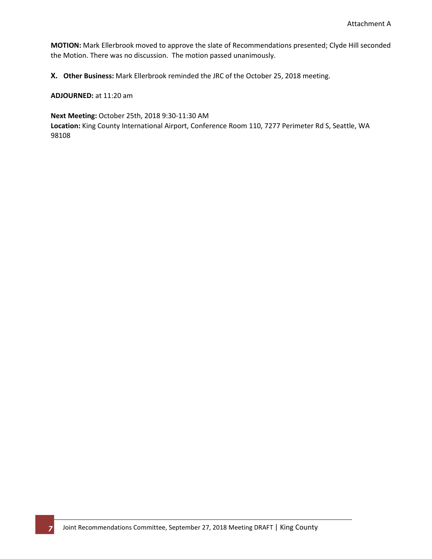**MOTION:** Mark Ellerbrook moved to approve the slate of Recommendations presented; Clyde Hill seconded the Motion. There was no discussion. The motion passed unanimously.

**X. Other Business:** Mark Ellerbrook reminded the JRC of the October 25, 2018 meeting.

**ADJOURNED:** at 11:20 am

**Next Meeting:** October 25th, 2018 9:30-11:30 AM **Location:** King County International Airport, Conference Room 110, 7277 Perimeter Rd S, Seattle, WA 98108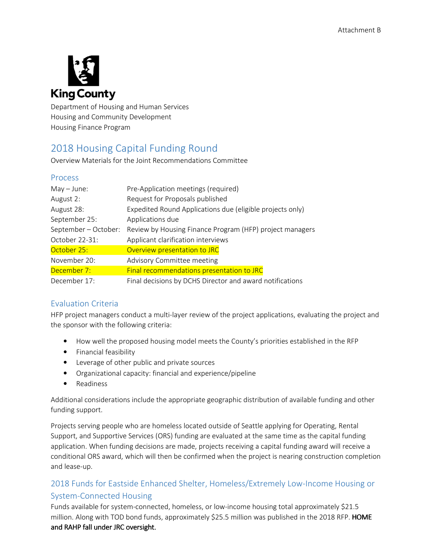<span id="page-9-0"></span>

Department of Housing and Human Services Housing and Community Development Housing Finance Program

## 2018 Housing Capital Funding Round

Overview Materials for the Joint Recommendations Committee

## Process

| $May - June:$      | Pre-Application meetings (required)                       |
|--------------------|-----------------------------------------------------------|
| August 2:          | Request for Proposals published                           |
| August 28:         | Expedited Round Applications due (eligible projects only) |
| September 25:      | Applications due                                          |
| September-October: | Review by Housing Finance Program (HFP) project managers  |
| October 22-31:     | Applicant clarification interviews                        |
| October 25:        | Overview presentation to JRC                              |
| November 20:       | Advisory Committee meeting                                |
| December 7:        | Final recommendations presentation to JRC                 |
| December 17:       | Final decisions by DCHS Director and award notifications  |

## Evaluation Criteria

HFP project managers conduct a multi-layer review of the project applications, evaluating the project and the sponsor with the following criteria:

- How well the proposed housing model meets the County's priorities established in the RFP
- Financial feasibility
- Leverage of other public and private sources
- Organizational capacity: financial and experience/pipeline
- Readiness

Additional considerations include the appropriate geographic distribution of available funding and other funding support.

Projects serving people who are homeless located outside of Seattle applying for Operating, Rental Support, and Supportive Services (ORS) funding are evaluated at the same time as the capital funding application. When funding decisions are made, projects receiving a capital funding award will receive a conditional ORS award, which will then be confirmed when the project is nearing construction completion and lease-up.

## 2018 Funds for Eastside Enhanced Shelter, Homeless/Extremely Low-Income Housing or System-Connected Housing

Funds available for system-connected, homeless, or low-income housing total approximately \$21.5 million. Along with TOD bond funds, approximately \$25.5 million was published in the 2018 RFP. HOME and RAHP fall under JRC oversight.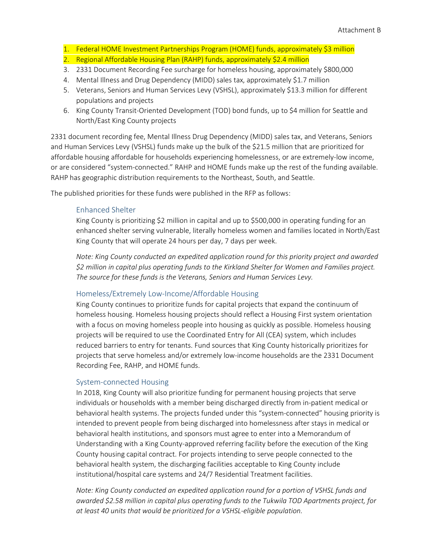- 1. Federal HOME Investment Partnerships Program (HOME) funds, approximately \$3 million
- 2. Regional Affordable Housing Plan (RAHP) funds, approximately \$2.4 million
- 3. 2331 Document Recording Fee surcharge for homeless housing, approximately \$800,000
- 4. Mental Illness and Drug Dependency (MIDD) sales tax, approximately \$1.7 million
- 5. Veterans, Seniors and Human Services Levy (VSHSL), approximately \$13.3 million for different populations and projects
- 6. King County Transit-Oriented Development (TOD) bond funds, up to \$4 million for Seattle and North/East King County projects

2331 document recording fee, Mental Illness Drug Dependency (MIDD) sales tax, and Veterans, Seniors and Human Services Levy (VSHSL) funds make up the bulk of the \$21.5 million that are prioritized for affordable housing affordable for households experiencing homelessness, or are extremely-low income, or are considered "system-connected." RAHP and HOME funds make up the rest of the funding available. RAHP has geographic distribution requirements to the Northeast, South, and Seattle.

The published priorities for these funds were published in the RFP as follows:

#### Enhanced Shelter

King County is prioritizing \$2 million in capital and up to \$500,000 in operating funding for an enhanced shelter serving vulnerable, literally homeless women and families located in North/East King County that will operate 24 hours per day, 7 days per week.

*Note: King County conducted an expedited application round for this priority project and awarded \$2 million in capital plus operating funds to the Kirkland Shelter for Women and Families project. The source for these funds is the Veterans, Seniors and Human Services Levy.* 

#### Homeless/Extremely Low-Income/Affordable Housing

King County continues to prioritize funds for capital projects that expand the continuum of homeless housing. Homeless housing projects should reflect a Housing First system orientation with a focus on moving homeless people into housing as quickly as possible. Homeless housing projects will be required to use the Coordinated Entry for All (CEA) system, which includes reduced barriers to entry for tenants. Fund sources that King County historically prioritizes for projects that serve homeless and/or extremely low-income households are the 2331 Document Recording Fee, RAHP, and HOME funds.

#### System-connected Housing

In 2018, King County will also prioritize funding for permanent housing projects that serve individuals or households with a member being discharged directly from in-patient medical or behavioral health systems. The projects funded under this "system-connected" housing priority is intended to prevent people from being discharged into homelessness after stays in medical or behavioral health institutions, and sponsors must agree to enter into a Memorandum of Understanding with a King County-approved referring facility before the execution of the King County housing capital contract. For projects intending to serve people connected to the behavioral health system, the discharging facilities acceptable to King County include institutional/hospital care systems and 24/7 Residential Treatment facilities.

*Note: King County conducted an expedited application round for a portion of VSHSL funds and awarded \$2.58 million in capital plus operating funds to the Tukwila TOD Apartments project, for at least 40 units that would be prioritized for a VSHSL-eligible population.*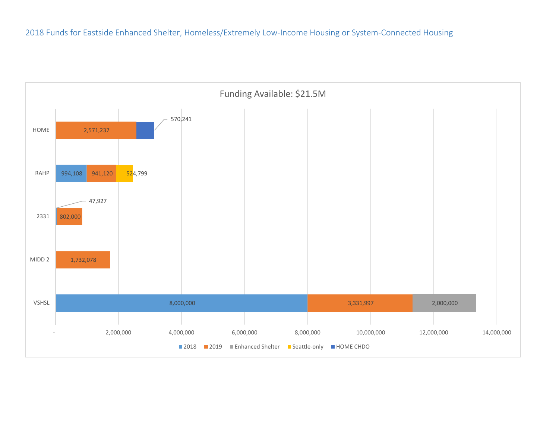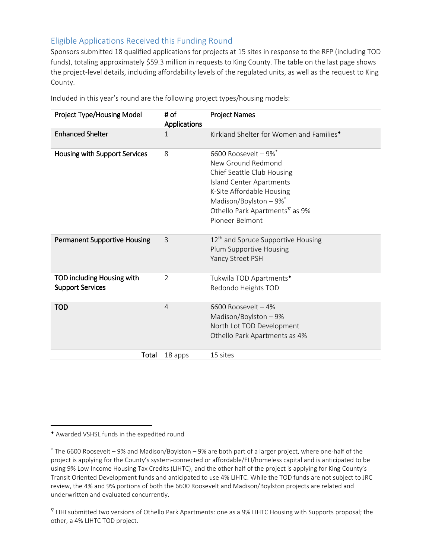## Eligible Applications Received this Funding Round

Sponsors submitted 18 qualified applications for projects at 15 sites in response to the RFP (including TOD funds), totaling approximately \$59.3 million in requests to King County. The table on the last page shows the project-level details, including affordability levels of the regulated units, as well as the request to King County.

| Project Type/Housing Model                            | # of<br><b>Applications</b> | <b>Project Names</b>                                                                                                                                                                                                                                                       |
|-------------------------------------------------------|-----------------------------|----------------------------------------------------------------------------------------------------------------------------------------------------------------------------------------------------------------------------------------------------------------------------|
| <b>Enhanced Shelter</b>                               | 1                           | Kirkland Shelter for Women and Families <sup>*</sup>                                                                                                                                                                                                                       |
| Housing with Support Services                         | 8                           | 6600 Roosevelt $-9\%$ <sup>*</sup><br>New Ground Redmond<br>Chief Seattle Club Housing<br>Island Center Apartments<br>K-Site Affordable Housing<br>Madison/Boylston $-9\%$ <sup>*</sup><br>Othello Park Apartments <sup><math>\nabla</math></sup> as 9%<br>Pioneer Belmont |
| <b>Permanent Supportive Housing</b>                   | 3                           | 12 <sup>th</sup> and Spruce Supportive Housing<br>Plum Supportive Housing<br>Yancy Street PSH                                                                                                                                                                              |
| TOD including Housing with<br><b>Support Services</b> | $\overline{2}$              | Tukwila TOD Apartments <sup>+</sup><br>Redondo Heights TOD                                                                                                                                                                                                                 |
| <b>TOD</b>                                            | $\overline{4}$              | 6600 Roosevelt - 4%<br>Madison/Boylston - 9%<br>North Lot TOD Development<br>Othello Park Apartments as 4%                                                                                                                                                                 |
| Total                                                 | 18 apps                     | 15 sites                                                                                                                                                                                                                                                                   |

Included in this year's round are the following project types/housing models:

-

<sup>♦</sup> Awarded VSHSL funds in the expedited round

<sup>\*</sup> The 6600 Roosevelt – 9% and Madison/Boylston – 9% are both part of a larger project, where one-half of the project is applying for the County's system-connected or affordable/ELI/homeless capital and is anticipated to be using 9% Low Income Housing Tax Credits (LIHTC), and the other half of the project is applying for King County's Transit Oriented Development funds and anticipated to use 4% LIHTC. While the TOD funds are not subject to JRC review, the 4% and 9% portions of both the 6600 Roosevelt and Madison/Boylston projects are related and underwritten and evaluated concurrently.

 $\rm{v}$  LIHI submitted two versions of Othello Park Apartments: one as a 9% LIHTC Housing with Supports proposal; the other, a 4% LIHTC TOD project.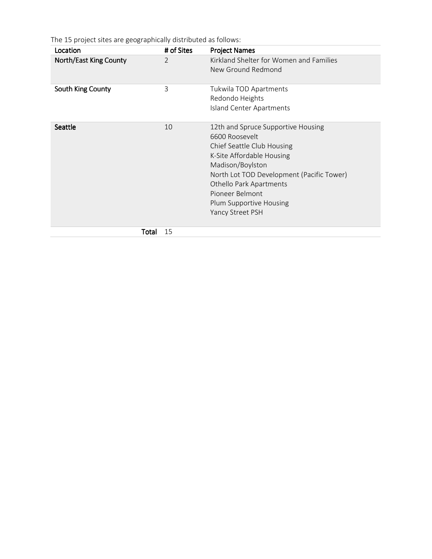The 15 project sites are geographically distributed as follows:

| Location               | # of Sites     | <b>Project Names</b>                                                                                                                                                                                                                                                          |
|------------------------|----------------|-------------------------------------------------------------------------------------------------------------------------------------------------------------------------------------------------------------------------------------------------------------------------------|
| North/East King County | $\overline{2}$ | Kirkland Shelter for Women and Families<br>New Ground Redmond                                                                                                                                                                                                                 |
| South King County      | 3              | Tukwila TOD Apartments<br>Redondo Heights<br>Island Center Apartments                                                                                                                                                                                                         |
| Seattle                | 10             | 12th and Spruce Supportive Housing<br>6600 Roosevelt<br>Chief Seattle Club Housing<br>K-Site Affordable Housing<br>Madison/Boylston<br>North Lot TOD Development (Pacific Tower)<br>Othello Park Apartments<br>Pioneer Belmont<br>Plum Supportive Housing<br>Yancy Street PSH |
| Total                  | 15             |                                                                                                                                                                                                                                                                               |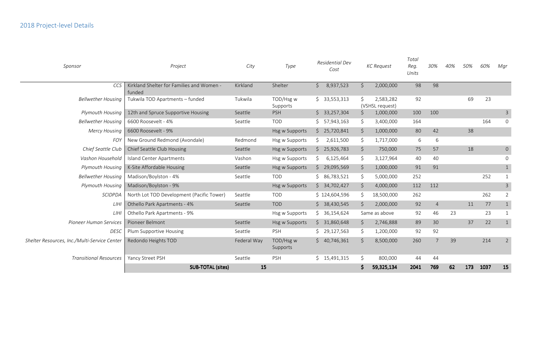| Sponsor                                      | Project                                             | Residential Dev<br>City<br>Type<br>Cost |                       |                      | <b>KC</b> Request | Total<br>Reg.<br>Units       | 30%  | 40%             | 50% | 60% | Mgr  |                |
|----------------------------------------------|-----------------------------------------------------|-----------------------------------------|-----------------------|----------------------|-------------------|------------------------------|------|-----------------|-----|-----|------|----------------|
| CCS                                          | Kirkland Shelter for Families and Women -<br>funded | Kirkland                                | Shelter               | 8,937,523<br>$\zeta$ | \$                | 2,000,000                    | 98   | 98              |     |     |      |                |
| <b>Bellwether Housing</b>                    | Tukwila TOD Apartments - funded                     | Tukwila                                 | TOD/Hsg w<br>Supports | \$33,553,313         | Ś.                | 2,583,282<br>(VSHSL request) | 92   |                 |     | 69  | 23   |                |
| Plymouth Housing                             | 12th and Spruce Supportive Housing                  | Seattle                                 | <b>PSH</b>            | \$33,257,304         | \$                | 1,000,000                    | 100  | 100             |     |     |      | $\mathsf{3}$   |
| <b>Bellwether Housing</b>                    | 6600 Roosevelt - 4%                                 | Seattle                                 | <b>TOD</b>            | \$7,943,163          | \$                | 3,400,000                    | 164  |                 |     |     | 164  | 0              |
| <b>Mercy Housing</b>                         | 6600 Roosevelt - 9%                                 |                                         | <b>Hsg w Supports</b> | \$25,720,841         | \$                | 1,000,000                    | 80   | 42              |     | 38  |      |                |
| <b>FOY</b>                                   | New Ground Redmond (Avondale)                       | Redmond                                 | Hsg w Supports        | 2,611,500<br>S.      | \$                | 1,717,000                    | 6    | 6               |     |     |      |                |
| Chief Seattle Club                           | Chief Seattle Club Housing                          | Seattle                                 | Hsg w Supports        | \$25,926,783         | \$                | 750,000                      | 75   | 57              |     | 18  |      | $\mathsf{O}$   |
| Vashon Household                             | Island Center Apartments                            | Vashon                                  | Hsg w Supports        | 6,125,464<br>S.      | \$                | 3,127,964                    | 40   | 40              |     |     |      | $\mathbf 0$    |
| <b>Plymouth Housing</b>                      | K-Site Affordable Housing                           | Seattle                                 | <b>Hsg w Supports</b> | \$29,095,569         | \$                | 1,000,000                    | 91   | 91              |     |     |      | $\mathbf{1}$   |
| <b>Bellwether Housing</b>                    | Madison/Boylston - 4%                               | Seattle                                 | <b>TOD</b>            | \$86,783,521         | \$                | 5,000,000                    | 252  |                 |     |     | 252  | $\mathbf{1}$   |
| Plymouth Housing                             | Madison/Boylston - 9%                               |                                         | <b>Hsg w Supports</b> | \$34,702,427         | \$                | 4,000,000                    | 112  | 112             |     |     |      | $\overline{3}$ |
| <b>SCIDPDA</b>                               | North Lot TOD Development (Pacific Tower)           | Seattle                                 | <b>TOD</b>            | \$124,604,596        | \$.               | 18,500,000                   | 262  |                 |     |     | 262  | $\overline{2}$ |
| LIHI                                         | Othello Park Apartments - 4%                        | Seattle                                 | <b>TOD</b>            | \$38,430,545         | \$                | 2,000,000                    | 92   | $\overline{4}$  |     | 11  | 77   | $\mathbf{1}$   |
| LIHI                                         | Othello Park Apartments - 9%                        |                                         | Hsg w Supports        | \$36,154,624         |                   | Same as above                | 92   | 46              | 23  |     | 23   | $\mathbf{1}$   |
| Pioneer Human Services                       | Pioneer Belmont                                     | Seattle                                 | Hsg w Supports        | \$31,860,648         | \$                | 2,746,888                    | 89   | 30 <sup>°</sup> |     | 37  | 22   | $\mathbf{1}$   |
| <b>DESC</b>                                  | Plum Supportive Housing                             | Seattle                                 | <b>PSH</b>            | \$29,127,563         | \$.               | 1,200,000                    | 92   | 92              |     |     |      |                |
| Shelter Resources, Inc./Multi-Service Center | Redondo Heights TOD                                 | Federal Way                             | TOD/Hsg w<br>Supports | \$40,746,361         | \$                | 8,500,000                    | 260  | $\overline{7}$  | 39  |     | 214  | $\overline{2}$ |
| <b>Transitional Resources</b>                | Yancy Street PSH                                    | Seattle                                 | <b>PSH</b>            | \$15,491,315         | \$                | 800,000                      | 44   | 44              |     |     |      |                |
|                                              | <b>SUB-TOTAL (sites)</b>                            | 15                                      |                       |                      |                   | 59,325,134                   | 2041 | 769             | 62  | 173 | 1037 | 15             |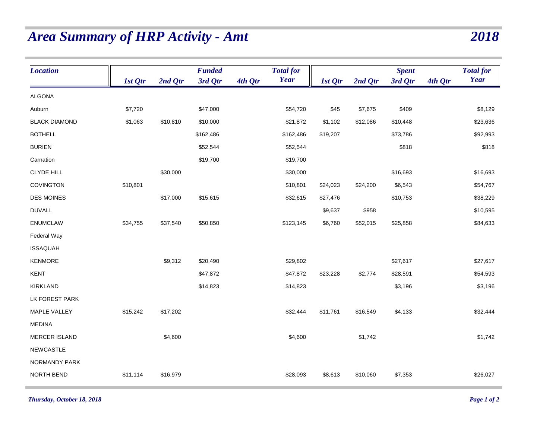## <span id="page-15-0"></span>*Area Summary of HRP Activity - Amt 2018*

| <b>Location</b>      |          |           | <b>Funded</b> |         | <b>Total for</b> |          |          | <b>Spent</b> |         | <b>Total for</b> |
|----------------------|----------|-----------|---------------|---------|------------------|----------|----------|--------------|---------|------------------|
|                      | 1st Qtr  | $2nd$ Qtr | 3rd Qtr       | 4th Qtr | <b>Year</b>      | 1st Qtr  | 2nd Qtr  | 3rd Qtr      | 4th Qtr | Year             |
| <b>ALGONA</b>        |          |           |               |         |                  |          |          |              |         |                  |
| Auburn               | \$7,720  |           | \$47,000      |         | \$54,720         | \$45     | \$7,675  | \$409        |         | \$8,129          |
| <b>BLACK DIAMOND</b> | \$1,063  | \$10,810  | \$10,000      |         | \$21,872         | \$1,102  | \$12,086 | \$10,448     |         | \$23,636         |
| <b>BOTHELL</b>       |          |           | \$162,486     |         | \$162,486        | \$19,207 |          | \$73,786     |         | \$92,993         |
| <b>BURIEN</b>        |          |           | \$52,544      |         | \$52,544         |          |          | \$818        |         | \$818            |
| Carnation            |          |           | \$19,700      |         | \$19,700         |          |          |              |         |                  |
| <b>CLYDE HILL</b>    |          | \$30,000  |               |         | \$30,000         |          |          | \$16,693     |         | \$16,693         |
| <b>COVINGTON</b>     | \$10,801 |           |               |         | \$10,801         | \$24,023 | \$24,200 | \$6,543      |         | \$54,767         |
| <b>DES MOINES</b>    |          | \$17,000  | \$15,615      |         | \$32,615         | \$27,476 |          | \$10,753     |         | \$38,229         |
| <b>DUVALL</b>        |          |           |               |         |                  | \$9,637  | \$958    |              |         | \$10,595         |
| <b>ENUMCLAW</b>      | \$34,755 | \$37,540  | \$50,850      |         | \$123,145        | \$6,760  | \$52,015 | \$25,858     |         | \$84,633         |
| Federal Way          |          |           |               |         |                  |          |          |              |         |                  |
| <b>ISSAQUAH</b>      |          |           |               |         |                  |          |          |              |         |                  |
| KENMORE              |          | \$9,312   | \$20,490      |         | \$29,802         |          |          | \$27,617     |         | \$27,617         |
| KENT                 |          |           | \$47,872      |         | \$47,872         | \$23,228 | \$2,774  | \$28,591     |         | \$54,593         |
| <b>KIRKLAND</b>      |          |           | \$14,823      |         | \$14,823         |          |          | \$3,196      |         | \$3,196          |
| LK FOREST PARK       |          |           |               |         |                  |          |          |              |         |                  |
| MAPLE VALLEY         | \$15,242 | \$17,202  |               |         | \$32,444         | \$11,761 | \$16,549 | \$4,133      |         | \$32,444         |
| <b>MEDINA</b>        |          |           |               |         |                  |          |          |              |         |                  |
| <b>MERCER ISLAND</b> |          | \$4,600   |               |         | \$4,600          |          | \$1,742  |              |         | \$1,742          |
| <b>NEWCASTLE</b>     |          |           |               |         |                  |          |          |              |         |                  |
| NORMANDY PARK        |          |           |               |         |                  |          |          |              |         |                  |
| NORTH BEND           | \$11,114 | \$16,979  |               |         | \$28,093         | \$8,613  | \$10,060 | \$7,353      |         | \$26,027         |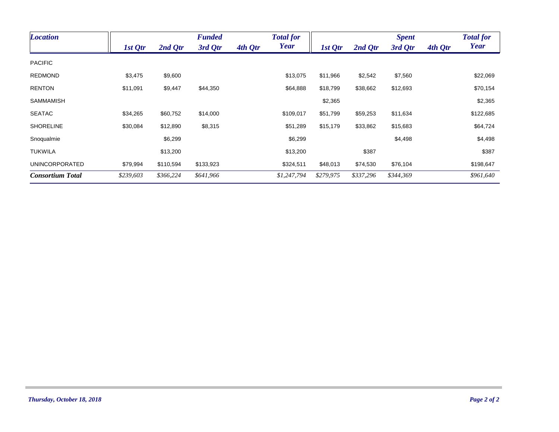| <b>Location</b>         |           |           | <b>Funded</b> |         | <b>Total for</b> |           |           | <b>Spent</b> |         | <b>Total for</b> |
|-------------------------|-----------|-----------|---------------|---------|------------------|-----------|-----------|--------------|---------|------------------|
|                         | 1st Qtr   | 2nd Qtr   | 3rd Qtr       | 4th Qtr | <b>Year</b>      | 1st Qtr   | 2nd Qtr   | 3rd Qtr      | 4th Qtr | Year             |
| <b>PACIFIC</b>          |           |           |               |         |                  |           |           |              |         |                  |
| <b>REDMOND</b>          | \$3,475   | \$9,600   |               |         | \$13,075         | \$11,966  | \$2,542   | \$7,560      |         | \$22,069         |
| <b>RENTON</b>           | \$11,091  | \$9,447   | \$44,350      |         | \$64,888         | \$18,799  | \$38,662  | \$12,693     |         | \$70,154         |
| <b>SAMMAMISH</b>        |           |           |               |         |                  | \$2,365   |           |              |         | \$2,365          |
| <b>SEATAC</b>           | \$34,265  | \$60,752  | \$14,000      |         | \$109,017        | \$51,799  | \$59,253  | \$11,634     |         | \$122,685        |
| <b>SHORELINE</b>        | \$30,084  | \$12,890  | \$8,315       |         | \$51,289         | \$15,179  | \$33,862  | \$15,683     |         | \$64,724         |
| Snoqualmie              |           | \$6,299   |               |         | \$6,299          |           |           | \$4,498      |         | \$4,498          |
| TUKWILA                 |           | \$13,200  |               |         | \$13,200         |           | \$387     |              |         | \$387            |
| <b>UNINCORPORATED</b>   | \$79,994  | \$110,594 | \$133,923     |         | \$324,511        | \$48,013  | \$74,530  | \$76,104     |         | \$198,647        |
| <b>Consortium Total</b> | \$239,603 | \$366,224 | \$641,966     |         | \$1,247,794      | \$279,975 | \$337,296 | \$344,369    |         | \$961,640        |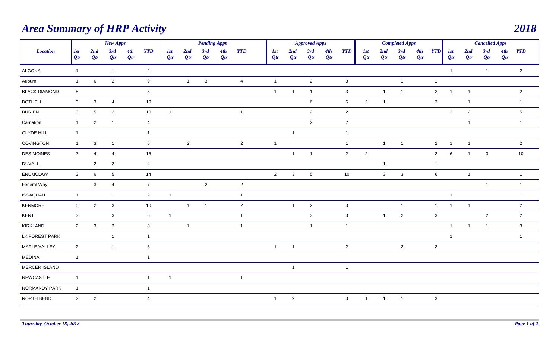## <span id="page-17-0"></span>*Area Summary of HRP Activity 2018*

| New Apps             |                 |                 |                 | <b>Pending Apps</b> |                  |                   |                | <b>Approved Apps</b>    |            |                |                          |                | <b>Completed Apps</b> |            |                |                |                |                | <b>Cancelled Apps</b> |                |                          |                |                |            |                 |
|----------------------|-----------------|-----------------|-----------------|---------------------|------------------|-------------------|----------------|-------------------------|------------|----------------|--------------------------|----------------|-----------------------|------------|----------------|----------------|----------------|----------------|-----------------------|----------------|--------------------------|----------------|----------------|------------|-----------------|
| <b>Location</b>      | 1st<br>Qtr      | 2nd<br>Qtr      | 3rd<br>Qtr      | 4th<br>Qtr          | <b>YTD</b>       | <i>lst</i><br>Qtr | 2nd<br>Qtr     | 3rd<br>Qtr              | 4th<br>Qtr | <b>YTD</b>     | <i><b>Ist</b></i><br>Qtr | 2nd<br>Qtr     | 3rd<br>Qtr            | 4th<br>Qtr | <b>YTD</b>     | 1st<br>Qtr     | 2nd<br>Qtr     | 3rd<br>Qtr     | 4th<br>Qtr            | <b>YTD</b>     | <i><b>1st</b></i><br>Qtr | 2nd<br>Qtr     | 3rd<br>Qtr     | 4th<br>Qtr | <b>YTD</b>      |
| <b>ALGONA</b>        | $\mathbf{1}$    |                 | $\overline{1}$  |                     | $\overline{2}$   |                   |                |                         |            |                |                          |                |                       |            |                |                |                |                |                       |                | $\overline{1}$           |                | $\overline{1}$ |            | $\overline{2}$  |
| Auburn               | $\mathbf{1}$    | 6               | $\overline{2}$  |                     | $9\,$            |                   | $\overline{1}$ | $\mathbf{3}$            |            | $\overline{4}$ | $\overline{1}$           |                | $\overline{2}$        |            | $\mathbf{3}$   |                |                | $\overline{1}$ |                       | $\mathbf{1}$   |                          |                |                |            |                 |
| <b>BLACK DIAMOND</b> | $5\phantom{.0}$ |                 |                 |                     | $5\phantom{.0}$  |                   |                |                         |            |                | $\overline{1}$           | $\overline{1}$ | $\overline{1}$        |            | $\mathbf{3}$   |                | $\mathbf{1}$   | $\overline{1}$ |                       | $\overline{2}$ | $\overline{\mathbf{1}}$  | $\overline{1}$ |                |            | $\overline{2}$  |
| <b>BOTHELL</b>       | $\mathbf{3}$    | $\mathbf{3}$    | $\overline{4}$  |                     | $10$             |                   |                |                         |            |                |                          |                | $6\phantom{.}6$       |            | 6              | $\overline{2}$ | $\overline{1}$ |                |                       | $\mathbf{3}$   |                          | $\overline{1}$ |                |            | $\overline{1}$  |
| <b>BURIEN</b>        | $\mathbf{3}$    | $\sqrt{5}$      | $\overline{2}$  |                     | 10               | $\mathbf{1}$      |                |                         |            | $\overline{1}$ |                          |                | $\overline{2}$        |            | $\overline{2}$ |                |                |                |                       |                | $\mathbf{3}$             | $\overline{2}$ |                |            | $5\phantom{.0}$ |
| Carnation            | $\mathbf{1}$    | $\overline{2}$  | $\overline{1}$  |                     | $\overline{4}$   |                   |                |                         |            |                |                          |                | $\overline{2}$        |            | $\overline{2}$ |                |                |                |                       |                |                          | $\overline{1}$ |                |            | $\overline{1}$  |
| <b>CLYDE HILL</b>    | $\mathbf{1}$    |                 |                 |                     | $\mathbf{1}$     |                   |                |                         |            |                |                          | $\overline{1}$ |                       |            | $\overline{1}$ |                |                |                |                       |                |                          |                |                |            |                 |
| COVINGTON            | $\overline{1}$  | $\mathbf{3}$    | $\mathbf{1}$    |                     | $5\phantom{.0}$  |                   | $\overline{2}$ |                         |            | $\overline{2}$ | $\overline{\mathbf{1}}$  |                |                       |            | $\mathbf{1}$   |                | $\mathbf{1}$   | $\overline{1}$ |                       | $\overline{2}$ | $\overline{1}$           | $\overline{1}$ |                |            | $\overline{2}$  |
| <b>DES MOINES</b>    | $\overline{7}$  | $\overline{a}$  | $\overline{4}$  |                     | $15\,$           |                   |                |                         |            |                |                          | $\overline{1}$ | $\overline{1}$        |            | $\overline{2}$ | $\overline{2}$ |                |                |                       | $\overline{2}$ | 6                        | $\overline{1}$ | $\mathbf{3}$   |            | 10              |
| <b>DUVALL</b>        |                 | 2               | $\overline{2}$  |                     | $\overline{4}$   |                   |                |                         |            |                |                          |                |                       |            |                |                | $\overline{1}$ |                |                       | $\mathbf{1}$   |                          |                |                |            |                 |
| <b>ENUMCLAW</b>      | $\mathbf{3}$    | $6\phantom{.}6$ | $5\phantom{.0}$ |                     | 14               |                   |                |                         |            |                | $\overline{2}$           | $\mathbf{3}$   | $5\phantom{.0}$       |            | 10             |                | $\mathbf{3}$   | $\mathbf{3}$   |                       | $6\phantom{.}$ |                          | $\overline{1}$ |                |            | $\overline{1}$  |
| Federal Way          |                 | $\mathbf{3}$    | 4               |                     | $\overline{7}$   |                   |                | $\overline{2}$          |            | $\overline{2}$ |                          |                |                       |            |                |                |                |                |                       |                |                          |                | $\overline{1}$ |            | $\overline{1}$  |
| <b>ISSAQUAH</b>      | $\overline{1}$  |                 | $\overline{1}$  |                     | $\overline{2}$   | $\mathbf{1}$      |                |                         |            | $\overline{1}$ |                          |                |                       |            |                |                |                |                |                       |                | $\overline{1}$           |                |                |            | $\overline{1}$  |
| KENMORE              | $5\phantom{.0}$ | $\overline{2}$  | $\mathbf{3}$    |                     | $10\,$           |                   | $\overline{1}$ | $\overline{\mathbf{1}}$ |            | $\overline{2}$ |                          | $\overline{1}$ | $\overline{2}$        |            | $\mathbf{3}$   |                |                | $\mathbf{1}$   |                       | $\mathbf{1}$   | $\overline{1}$           | $\overline{1}$ |                |            | $\mathbf{2}$    |
| <b>KENT</b>          | $\mathbf{3}$    |                 | $\mathbf{3}$    |                     | $6\phantom{.}$   | $\mathbf{1}$      |                |                         |            | $\overline{1}$ |                          |                | $\mathbf{3}$          |            | $\mathbf{3}$   |                | $\overline{1}$ | $\overline{2}$ |                       | $\mathbf{3}$   |                          |                | $\overline{2}$ |            | $\overline{2}$  |
| KIRKLAND             | $\overline{2}$  | $\mathbf{3}$    | $\mathbf{3}$    |                     | $\boldsymbol{8}$ |                   | $\overline{1}$ |                         |            | $\overline{1}$ |                          |                | $\mathbf{1}$          |            | $\mathbf{1}$   |                |                |                |                       |                | $\overline{1}$           | $\overline{1}$ | $\overline{1}$ |            | $\mathbf{3}$    |
| LK FOREST PARK       |                 |                 | $\mathbf{1}$    |                     | $\overline{1}$   |                   |                |                         |            |                |                          |                |                       |            |                |                |                |                |                       |                | $\overline{1}$           |                |                |            | $\overline{1}$  |
| MAPLE VALLEY         | $\overline{2}$  |                 | $\mathbf{1}$    |                     | $\mathbf{3}$     |                   |                |                         |            |                | $\overline{1}$           | $\overline{1}$ |                       |            | $\overline{2}$ |                |                | $\overline{2}$ |                       | $\overline{2}$ |                          |                |                |            |                 |
| <b>MEDINA</b>        | $\overline{1}$  |                 |                 |                     | $\overline{1}$   |                   |                |                         |            |                |                          |                |                       |            |                |                |                |                |                       |                |                          |                |                |            |                 |
| MERCER ISLAND        |                 |                 |                 |                     |                  |                   |                |                         |            |                |                          | $\mathbf{1}$   |                       |            | $\mathbf{1}$   |                |                |                |                       |                |                          |                |                |            |                 |
| <b>NEWCASTLE</b>     | $\mathbf{1}$    |                 |                 |                     | $\overline{1}$   | $\mathbf{1}$      |                |                         |            | $\overline{1}$ |                          |                |                       |            |                |                |                |                |                       |                |                          |                |                |            |                 |
| NORMANDY PARK        | $\overline{1}$  |                 |                 |                     | $\overline{1}$   |                   |                |                         |            |                |                          |                |                       |            |                |                |                |                |                       |                |                          |                |                |            |                 |
| NORTH BEND           | $\overline{2}$  | $\overline{2}$  |                 |                     | $\overline{4}$   |                   |                |                         |            |                | $\overline{1}$           | $\overline{2}$ |                       |            | $\mathbf{3}$   | $\mathbf{1}$   | $\overline{1}$ | $\overline{1}$ |                       | $\mathbf{3}$   |                          |                |                |            |                 |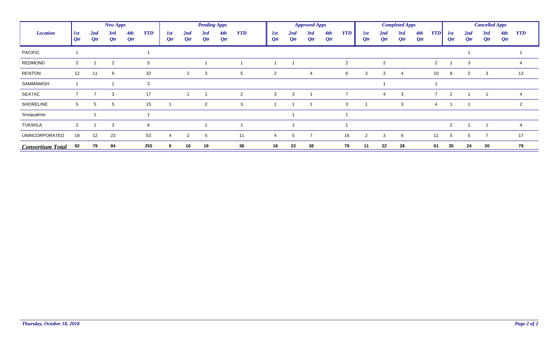|                         |                 |               | New Apps   |            |                |                |                | <b>Pending Apps</b> |               |                |            |             | <b>Approved Apps</b> |               |                |                           |                | <b>Completed Apps</b> |            |                |                      |               | <b>Cancelled Apps</b> |            |                |
|-------------------------|-----------------|---------------|------------|------------|----------------|----------------|----------------|---------------------|---------------|----------------|------------|-------------|----------------------|---------------|----------------|---------------------------|----------------|-----------------------|------------|----------------|----------------------|---------------|-----------------------|------------|----------------|
| <b>Location</b>         | 1st<br>Qtr      | 2nd<br>$Q$ tr | 3rd<br>Qtr | 4th<br>Qtr | <b>YTD</b>     | 1st<br>$Q$ tr  | 2nd<br>$Q$ tr  | 3rd<br>Qtr          | 4th<br>$Q$ tr | <b>YTD</b>     | 1st<br>Qtr | 2nd<br>Qtr  | 3rd<br>$Q$ tr        | 4th<br>$Q$ tr | <b>YTD</b>     | I <sub>st</sub><br>$Q$ tr | 2nd<br>$Q$ tr  | 3rd<br>$Q$ tr         | 4th<br>Qtr | <b>YTD</b>     | <b>1st</b><br>$Q$ tr | 2nd<br>$Q$ tr | 3rd<br>Qtr            | 4th<br>Qtr | <b>YTD</b>     |
| <b>PACIFIC</b>          |                 |               |            |            |                |                |                |                     |               |                |            |             |                      |               |                |                           |                |                       |            |                |                      |               |                       |            |                |
| REDMOND                 | $\overline{2}$  |               | 2          |            | 5              |                |                |                     |               |                |            |             |                      |               | $\overline{2}$ |                           | $\overline{2}$ |                       |            | $\overline{2}$ |                      | 3             |                       |            |                |
| <b>RENTON</b>           | 12              | 11            | 9          |            | 32             |                | $\overline{2}$ | 3                   |               | 5              | 2          |             | $\overline{4}$       |               | 6              | 3                         | 3              | $\overline{4}$        |            | 10             | 8                    | 2             | $\mathbf{3}$          |            | 13             |
| SAMMAMISH               |                 |               |            |            | $\overline{c}$ |                |                |                     |               |                |            |             |                      |               |                |                           |                |                       |            |                |                      |               |                       |            |                |
| SEATAC                  | $\overline{7}$  | 7             | 3          |            | 17             |                |                |                     |               | $\overline{2}$ | 3          | 3           |                      |               | $\overline{7}$ |                           | $\overline{4}$ | 3                     |            | $\overline{7}$ | 2                    |               |                       |            | $\overline{4}$ |
| SHORELINE               | $5\overline{5}$ | 5             | 5          |            | 15             |                |                | $\overline{2}$      |               | 3              |            |             |                      |               | 3              |                           |                | 3                     |            | 4              |                      |               |                       |            | 2              |
| Snoqualmie              |                 |               |            |            |                |                |                |                     |               |                |            |             |                      |               |                |                           |                |                       |            |                |                      |               |                       |            |                |
| <b>TUKWILA</b>          | 2               |               | 3          |            | 6              |                |                |                     |               |                |            |             |                      |               |                |                           |                |                       |            |                | 2                    |               |                       |            | $\overline{4}$ |
| <b>UNINCORPORATED</b>   | 18              | 12            | 23         |            | 53             | $\overline{4}$ | 2              | 5                   |               | 11             | 4          | $5^{\circ}$ | $\overline{7}$       |               | 16             | 2                         | 3              | 6                     |            | 11             | 5                    | 5             | $\overline{7}$        |            | 17             |
| <b>Consortium Total</b> | 92              | 79            | 84         |            | 255            | 9              | 10             | 19                  |               | 38             | 18         | 23          | 38                   |               | 79             | 11                        | 22             | 28                    |            | 61             | 35                   | 24            | 20                    |            | 79             |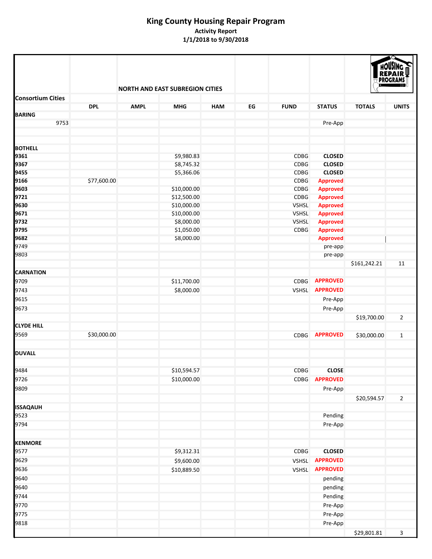<span id="page-19-0"></span>

|                          |             |             |                                        |            |    |              |                 | HOUSING<br><b>PROGRAMS</b> |                |  |
|--------------------------|-------------|-------------|----------------------------------------|------------|----|--------------|-----------------|----------------------------|----------------|--|
| <b>Consortium Cities</b> |             |             | <b>NORTH AND EAST SUBREGION CITIES</b> |            |    |              |                 |                            |                |  |
|                          | <b>DPL</b>  | <b>AMPL</b> | <b>MHG</b>                             | <b>HAM</b> | EG | <b>FUND</b>  | <b>STATUS</b>   | <b>TOTALS</b>              | <b>UNITS</b>   |  |
| <b>BARING</b>            |             |             |                                        |            |    |              |                 |                            |                |  |
| 9753                     |             |             |                                        |            |    |              | Pre-App         |                            |                |  |
|                          |             |             |                                        |            |    |              |                 |                            |                |  |
| <b>BOTHELL</b>           |             |             |                                        |            |    |              |                 |                            |                |  |
| 9361                     |             |             | \$9,980.83                             |            |    | CDBG         | <b>CLOSED</b>   |                            |                |  |
| 9367                     |             |             | \$8,745.32                             |            |    | CDBG         | <b>CLOSED</b>   |                            |                |  |
| 9455                     |             |             | \$5,366.06                             |            |    | CDBG         | <b>CLOSED</b>   |                            |                |  |
| 9166                     | \$77,600.00 |             |                                        |            |    | <b>CDBG</b>  | <b>Approved</b> |                            |                |  |
| 9603                     |             |             | \$10,000.00                            |            |    | CDBG         | <b>Approved</b> |                            |                |  |
| 9721                     |             |             | \$12,500.00                            |            |    | CDBG         | <b>Approved</b> |                            |                |  |
| 9630                     |             |             | \$10,000.00                            |            |    | <b>VSHSL</b> | <b>Approved</b> |                            |                |  |
| 9671                     |             |             | \$10,000.00                            |            |    | <b>VSHSL</b> | <b>Approved</b> |                            |                |  |
| 9732                     |             |             | \$8,000.00                             |            |    | <b>VSHSL</b> | <b>Approved</b> |                            |                |  |
| 9795                     |             |             | \$1,050.00                             |            |    | <b>CDBG</b>  | <b>Approved</b> |                            |                |  |
| 9682                     |             |             | \$8,000.00                             |            |    |              | <b>Approved</b> |                            |                |  |
| 9749                     |             |             |                                        |            |    |              | pre-app         |                            |                |  |
| 9803                     |             |             |                                        |            |    |              | pre-app         | \$161,242.21               | 11             |  |
| <b>CARNATION</b>         |             |             |                                        |            |    |              |                 |                            |                |  |
| 9709                     |             |             | \$11,700.00                            |            |    | <b>CDBG</b>  | <b>APPROVED</b> |                            |                |  |
| 9743                     |             |             | \$8,000.00                             |            |    |              | VSHSL APPROVED  |                            |                |  |
|                          |             |             |                                        |            |    |              |                 |                            |                |  |
| 9615                     |             |             |                                        |            |    |              | Pre-App         |                            |                |  |
| 9673                     |             |             |                                        |            |    |              | Pre-App         |                            |                |  |
| <b>CLYDE HILL</b>        |             |             |                                        |            |    |              |                 | \$19,700.00                | $\overline{2}$ |  |
|                          |             |             |                                        |            |    |              | <b>APPROVED</b> |                            |                |  |
| 9569                     | \$30,000.00 |             |                                        |            |    | <b>CDBG</b>  |                 | \$30,000.00                | $\mathbf{1}$   |  |
| <b>DUVALL</b>            |             |             |                                        |            |    |              |                 |                            |                |  |
|                          |             |             |                                        |            |    |              |                 |                            |                |  |
| 9484                     |             |             | \$10,594.57                            |            |    | CDBG         | <b>CLOSE</b>    |                            |                |  |
| 9726                     |             |             | \$10,000.00                            |            |    |              | CDBG APPROVED   |                            |                |  |
| 9809                     |             |             |                                        |            |    |              | Pre-App         |                            |                |  |
|                          |             |             |                                        |            |    |              |                 | \$20,594.57                | $\overline{2}$ |  |
| <b>ISSAQAUH</b>          |             |             |                                        |            |    |              |                 |                            |                |  |
| 9523                     |             |             |                                        |            |    |              | Pending         |                            |                |  |
| 9794                     |             |             |                                        |            |    |              | Pre-App         |                            |                |  |
|                          |             |             |                                        |            |    |              |                 |                            |                |  |
| <b>KENMORE</b>           |             |             |                                        |            |    |              |                 |                            |                |  |
| 9577                     |             |             | \$9,312.31                             |            |    | <b>CDBG</b>  | <b>CLOSED</b>   |                            |                |  |
| 9629                     |             |             | \$9,600.00                             |            |    | VSHSL        | <b>APPROVED</b> |                            |                |  |
| 9636                     |             |             | \$10,889.50                            |            |    | <b>VSHSL</b> | <b>APPROVED</b> |                            |                |  |
| 9640                     |             |             |                                        |            |    |              | pending         |                            |                |  |
| 9640                     |             |             |                                        |            |    |              | pending         |                            |                |  |
| 9744                     |             |             |                                        |            |    |              | Pending         |                            |                |  |
| 9770                     |             |             |                                        |            |    |              | Pre-App         |                            |                |  |
| 9775                     |             |             |                                        |            |    |              | Pre-App         |                            |                |  |
| 9818                     |             |             |                                        |            |    |              | Pre-App         |                            |                |  |
|                          |             |             |                                        |            |    |              |                 | \$29,801.81                | $\mathbf{3}$   |  |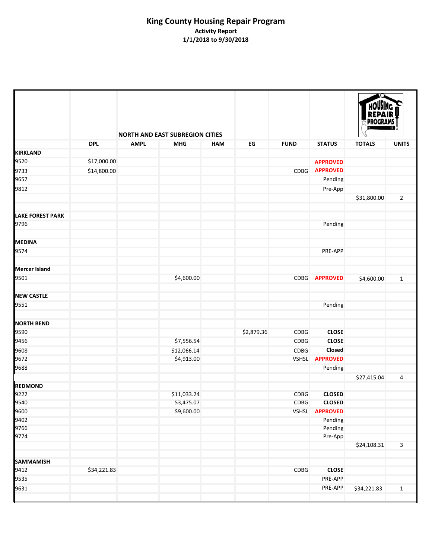|                         |             |             | <b>NORTH AND EAST SUBREGION CITIES</b> |            |            |              |                       | <b>HOUSING</b><br><b>REPAIR</b><br>PROGRAMS |                         |  |
|-------------------------|-------------|-------------|----------------------------------------|------------|------------|--------------|-----------------------|---------------------------------------------|-------------------------|--|
|                         | <b>DPL</b>  | <b>AMPL</b> | <b>MHG</b>                             | <b>HAM</b> | EG         | <b>FUND</b>  | <b>STATUS</b>         | <b>TOTALS</b>                               | <b>UNITS</b>            |  |
| <b>KIRKLAND</b>         |             |             |                                        |            |            |              |                       |                                             |                         |  |
| 9520                    | \$17,000.00 |             |                                        |            |            |              | <b>APPROVED</b>       |                                             |                         |  |
| 9733                    | \$14,800.00 |             |                                        |            |            | <b>CDBG</b>  | <b>APPROVED</b>       |                                             |                         |  |
| 9657                    |             |             |                                        |            |            |              | Pending               |                                             |                         |  |
|                         |             |             |                                        |            |            |              |                       |                                             |                         |  |
| 9812                    |             |             |                                        |            |            |              | Pre-App               | \$31,800.00                                 | $\overline{2}$          |  |
| <b>LAKE FOREST PARK</b> |             |             |                                        |            |            |              |                       |                                             |                         |  |
| 9796                    |             |             |                                        |            |            |              | Pending               |                                             |                         |  |
| <b>MEDINA</b>           |             |             |                                        |            |            |              |                       |                                             |                         |  |
| 9574                    |             |             |                                        |            |            |              | PRE-APP               |                                             |                         |  |
|                         |             |             |                                        |            |            |              |                       |                                             |                         |  |
| <b>Mercer Island</b>    |             |             |                                        |            |            |              |                       |                                             |                         |  |
| 9501                    |             |             | \$4,600.00                             |            |            |              | CDBG APPROVED         | \$4,600.00                                  | $\mathbf{1}$            |  |
| <b>NEW CASTLE</b>       |             |             |                                        |            |            |              |                       |                                             |                         |  |
| 9551                    |             |             |                                        |            |            |              | Pending               |                                             |                         |  |
| <b>NORTH BEND</b>       |             |             |                                        |            |            |              |                       |                                             |                         |  |
| 9590                    |             |             |                                        |            | \$2,879.36 | CDBG         | <b>CLOSE</b>          |                                             |                         |  |
| 9456                    |             |             | \$7,556.54                             |            |            | CDBG         | <b>CLOSE</b>          |                                             |                         |  |
| 9608                    |             |             | \$12,066.14                            |            |            | CDBG         | Closed                |                                             |                         |  |
| 9672                    |             |             | \$4,913.00                             |            |            | <b>VSHSL</b> | <b>APPROVED</b>       |                                             |                         |  |
| 9688                    |             |             |                                        |            |            |              | Pending               |                                             |                         |  |
|                         |             |             |                                        |            |            |              |                       | \$27,415.04                                 | 4                       |  |
| <b>REDMOND</b>          |             |             |                                        |            |            |              |                       |                                             |                         |  |
| 9222                    |             |             | \$11,033.24                            |            |            | CDBG         | <b>CLOSED</b>         |                                             |                         |  |
| 9540                    |             |             | \$3,475.07                             |            |            | CDBG         | <b>CLOSED</b>         |                                             |                         |  |
| 9600                    |             |             | \$9,600.00                             |            |            |              | VSHSL <b>APPROVED</b> |                                             |                         |  |
| 9402                    |             |             |                                        |            |            |              | Pending               |                                             |                         |  |
| 9766                    |             |             |                                        |            |            |              | Pending               |                                             |                         |  |
| 9774                    |             |             |                                        |            |            |              | Pre-App               |                                             |                         |  |
|                         |             |             |                                        |            |            |              |                       | \$24,108.31                                 | $\overline{\mathbf{3}}$ |  |
| <b>SAMMAMISH</b>        |             |             |                                        |            |            |              |                       |                                             |                         |  |
| 9412                    | \$34,221.83 |             |                                        |            |            | CDBG         | <b>CLOSE</b>          |                                             |                         |  |
| 9535                    |             |             |                                        |            |            |              | PRE-APP               |                                             |                         |  |
| 9631                    |             |             |                                        |            |            |              | PRE-APP               | \$34,221.83                                 | $\mathbf{1}$            |  |
|                         |             |             |                                        |            |            |              |                       |                                             |                         |  |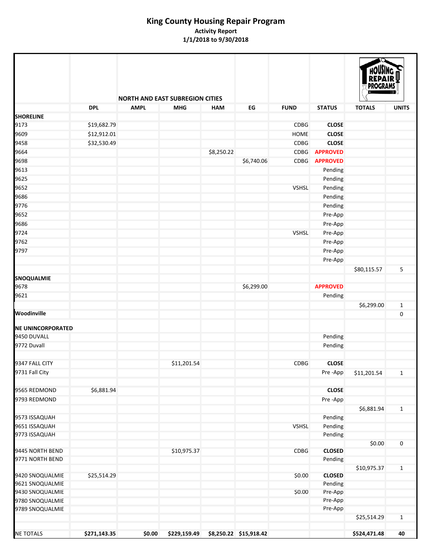|                          |              |             | <b>NORTH AND EAST SUBREGION CITIES</b> |            |                        |              |                 |               |              |
|--------------------------|--------------|-------------|----------------------------------------|------------|------------------------|--------------|-----------------|---------------|--------------|
| <b>SHORELINE</b>         | <b>DPL</b>   | <b>AMPL</b> | <b>MHG</b>                             | <b>HAM</b> | EG                     | <b>FUND</b>  | <b>STATUS</b>   | <b>TOTALS</b> | <b>UNITS</b> |
| 9173                     | \$19,682.79  |             |                                        |            |                        | CDBG         | <b>CLOSE</b>    |               |              |
| 9609                     | \$12,912.01  |             |                                        |            |                        | HOME         | <b>CLOSE</b>    |               |              |
| 9458                     | \$32,530.49  |             |                                        |            |                        | <b>CDBG</b>  | <b>CLOSE</b>    |               |              |
| 9664                     |              |             |                                        | \$8,250.22 |                        | <b>CDBG</b>  | <b>APPROVED</b> |               |              |
| 9698                     |              |             |                                        |            | \$6,740.06             | <b>CDBG</b>  | <b>APPROVED</b> |               |              |
| 9613                     |              |             |                                        |            |                        |              | Pending         |               |              |
| 9625                     |              |             |                                        |            |                        |              | Pending         |               |              |
| 9652                     |              |             |                                        |            |                        | <b>VSHSL</b> | Pending         |               |              |
|                          |              |             |                                        |            |                        |              |                 |               |              |
| 9686                     |              |             |                                        |            |                        |              | Pending         |               |              |
| 9776                     |              |             |                                        |            |                        |              | Pending         |               |              |
| 9652                     |              |             |                                        |            |                        |              | Pre-App         |               |              |
| 9686                     |              |             |                                        |            |                        |              | Pre-App         |               |              |
| 9724                     |              |             |                                        |            |                        | <b>VSHSL</b> | Pre-App         |               |              |
| 9762                     |              |             |                                        |            |                        |              | Pre-App         |               |              |
| 9797                     |              |             |                                        |            |                        |              | Pre-App         |               |              |
|                          |              |             |                                        |            |                        |              | Pre-App         |               |              |
|                          |              |             |                                        |            |                        |              |                 | \$80,115.57   | 5            |
| <b>SNOQUALMIE</b>        |              |             |                                        |            |                        |              |                 |               |              |
| 9678                     |              |             |                                        |            | \$6,299.00             |              | <b>APPROVED</b> |               |              |
| 9621                     |              |             |                                        |            |                        |              | Pending         |               |              |
|                          |              |             |                                        |            |                        |              |                 | \$6,299.00    | $\mathbf{1}$ |
| Woodinville              |              |             |                                        |            |                        |              |                 |               | 0            |
| <b>NE UNINCORPORATED</b> |              |             |                                        |            |                        |              |                 |               |              |
| 9450 DUVALL              |              |             |                                        |            |                        |              | Pending         |               |              |
| 9772 Duvall              |              |             |                                        |            |                        |              | Pending         |               |              |
|                          |              |             |                                        |            |                        |              |                 |               |              |
| 9347 FALL CITY           |              |             | \$11,201.54                            |            |                        | <b>CDBG</b>  | <b>CLOSE</b>    |               |              |
| 9731 Fall City           |              |             |                                        |            |                        |              | Pre-App         | \$11,201.54   | $\mathbf{1}$ |
|                          |              |             |                                        |            |                        |              |                 |               |              |
| 9565 REDMOND             | \$6,881.94   |             |                                        |            |                        |              | <b>CLOSE</b>    |               |              |
| 9793 REDMOND             |              |             |                                        |            |                        |              | Pre-App         |               |              |
|                          |              |             |                                        |            |                        |              |                 | \$6,881.94    | $\mathbf{1}$ |
| 9573 ISSAQUAH            |              |             |                                        |            |                        |              | Pending         |               |              |
| 9651 ISSAQUAH            |              |             |                                        |            |                        | <b>VSHSL</b> | Pending         |               |              |
| 9773 ISSAQUAH            |              |             |                                        |            |                        |              | Pending         |               |              |
|                          |              |             |                                        |            |                        |              |                 | \$0.00        | $\pmb{0}$    |
| 9445 NORTH BEND          |              |             | \$10,975.37                            |            |                        | CDBG         | <b>CLOSED</b>   |               |              |
| 9771 NORTH BEND          |              |             |                                        |            |                        |              | Pending         |               |              |
|                          |              |             |                                        |            |                        |              |                 | \$10,975.37   | $\mathbf{1}$ |
| 9420 SNOQUALMIE          | \$25,514.29  |             |                                        |            |                        | \$0.00       | <b>CLOSED</b>   |               |              |
| 9621 SNOQUALMIE          |              |             |                                        |            |                        |              | Pending         |               |              |
| 9430 SNOQUALMIE          |              |             |                                        |            |                        | \$0.00       | Pre-App         |               |              |
| 9780 SNOQUALMIE          |              |             |                                        |            |                        |              | Pre-App         |               |              |
| 9789 SNOQUALMIE          |              |             |                                        |            |                        |              | Pre-App         |               |              |
|                          |              |             |                                        |            |                        |              |                 | \$25,514.29   | $\mathbf{1}$ |
| <b>NE TOTALS</b>         | \$271,143.35 | \$0.00      | \$229,159.49                           |            | \$8,250.22 \$15,918.42 |              |                 | \$524,471.48  | 40           |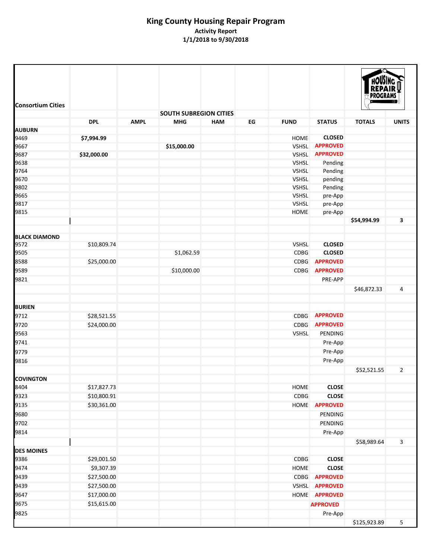| <b>SOUTH SUBREGION CITIES</b><br><b>DPL</b><br><b>AMPL</b><br><b>FUND</b><br><b>STATUS</b><br><b>UNITS</b><br><b>MHG</b><br><b>HAM</b><br>EG<br><b>TOTALS</b><br><b>CLOSED</b><br>\$7,994.99<br>HOME<br><b>APPROVED</b><br>\$15,000.00<br><b>VSHSL</b><br>9687<br><b>APPROVED</b><br>\$32,000.00<br>VSHSL<br>9638<br>VSHSL<br>Pending<br>9764<br>VSHSL<br>Pending<br>9670<br><b>VSHSL</b><br>pending<br>9802<br><b>VSHSL</b><br>Pending<br>9665<br><b>VSHSL</b><br>pre-App<br>9817<br><b>VSHSL</b><br>pre-App<br>9815<br>HOME<br>pre-App<br>3<br>\$54,994.99<br><b>BLACK DIAMOND</b><br>9572<br>\$10,809.74<br><b>VSHSL</b><br><b>CLOSED</b><br>9505<br>\$1,062.59<br><b>CDBG</b><br><b>CLOSED</b><br>8588<br><b>APPROVED</b><br>\$25,000.00<br><b>CDBG</b><br>9589<br>\$10,000.00<br><b>CDBG</b><br><b>APPROVED</b><br>9821<br><b>PRE-APP</b><br>\$46,872.33<br>4<br>9712<br><b>APPROVED</b><br>\$28,521.55<br><b>CDBG</b><br>9720<br><b>APPROVED</b><br>\$24,000.00<br><b>CDBG</b><br>9563<br><b>VSHSL</b><br>PENDING<br>9741<br>Pre-App<br>Pre-App<br>Pre-App<br>\$52,521.55<br>$\overline{2}$<br><b>COVINGTON</b><br>8404<br>\$17,827.73<br><b>CLOSE</b><br>HOME<br>9323<br><b>CLOSE</b><br>\$10,800.91<br>CDBG<br>9135<br>\$30,361.00<br>HOME<br><b>APPROVED</b><br>9680<br><b>PENDING</b><br>9702<br>PENDING<br>9814<br>Pre-App<br>\$58,989.64<br>3<br>9386<br>\$29,001.50<br><b>CLOSE</b><br><b>CDBG</b><br>9474<br>\$9,307.39<br><b>CLOSE</b><br>HOME<br>9439<br>\$27,500.00<br><b>APPROVED</b><br><b>CDBG</b><br>9439<br>\$27,500.00<br><b>VSHSL</b><br><b>APPROVED</b><br>9647<br>\$17,000.00<br>HOME <b>APPROVED</b><br>\$15,615.00<br>9675<br><b>APPROVED</b><br>9825<br>Pre-App | <b>Consortium Cities</b> |  |  |  | <b>HOUSING</b><br><b>REPAIR</b><br><b>PROGRAMS</b> |   |
|----------------------------------------------------------------------------------------------------------------------------------------------------------------------------------------------------------------------------------------------------------------------------------------------------------------------------------------------------------------------------------------------------------------------------------------------------------------------------------------------------------------------------------------------------------------------------------------------------------------------------------------------------------------------------------------------------------------------------------------------------------------------------------------------------------------------------------------------------------------------------------------------------------------------------------------------------------------------------------------------------------------------------------------------------------------------------------------------------------------------------------------------------------------------------------------------------------------------------------------------------------------------------------------------------------------------------------------------------------------------------------------------------------------------------------------------------------------------------------------------------------------------------------------------------------------------------------------------------------------------------------------------------------------------------------------------|--------------------------|--|--|--|----------------------------------------------------|---|
|                                                                                                                                                                                                                                                                                                                                                                                                                                                                                                                                                                                                                                                                                                                                                                                                                                                                                                                                                                                                                                                                                                                                                                                                                                                                                                                                                                                                                                                                                                                                                                                                                                                                                              |                          |  |  |  |                                                    |   |
|                                                                                                                                                                                                                                                                                                                                                                                                                                                                                                                                                                                                                                                                                                                                                                                                                                                                                                                                                                                                                                                                                                                                                                                                                                                                                                                                                                                                                                                                                                                                                                                                                                                                                              |                          |  |  |  |                                                    |   |
|                                                                                                                                                                                                                                                                                                                                                                                                                                                                                                                                                                                                                                                                                                                                                                                                                                                                                                                                                                                                                                                                                                                                                                                                                                                                                                                                                                                                                                                                                                                                                                                                                                                                                              | <b>AUBURN</b>            |  |  |  |                                                    |   |
|                                                                                                                                                                                                                                                                                                                                                                                                                                                                                                                                                                                                                                                                                                                                                                                                                                                                                                                                                                                                                                                                                                                                                                                                                                                                                                                                                                                                                                                                                                                                                                                                                                                                                              | 9469                     |  |  |  |                                                    |   |
|                                                                                                                                                                                                                                                                                                                                                                                                                                                                                                                                                                                                                                                                                                                                                                                                                                                                                                                                                                                                                                                                                                                                                                                                                                                                                                                                                                                                                                                                                                                                                                                                                                                                                              | 9667                     |  |  |  |                                                    |   |
|                                                                                                                                                                                                                                                                                                                                                                                                                                                                                                                                                                                                                                                                                                                                                                                                                                                                                                                                                                                                                                                                                                                                                                                                                                                                                                                                                                                                                                                                                                                                                                                                                                                                                              |                          |  |  |  |                                                    |   |
|                                                                                                                                                                                                                                                                                                                                                                                                                                                                                                                                                                                                                                                                                                                                                                                                                                                                                                                                                                                                                                                                                                                                                                                                                                                                                                                                                                                                                                                                                                                                                                                                                                                                                              |                          |  |  |  |                                                    |   |
|                                                                                                                                                                                                                                                                                                                                                                                                                                                                                                                                                                                                                                                                                                                                                                                                                                                                                                                                                                                                                                                                                                                                                                                                                                                                                                                                                                                                                                                                                                                                                                                                                                                                                              |                          |  |  |  |                                                    |   |
|                                                                                                                                                                                                                                                                                                                                                                                                                                                                                                                                                                                                                                                                                                                                                                                                                                                                                                                                                                                                                                                                                                                                                                                                                                                                                                                                                                                                                                                                                                                                                                                                                                                                                              |                          |  |  |  |                                                    |   |
|                                                                                                                                                                                                                                                                                                                                                                                                                                                                                                                                                                                                                                                                                                                                                                                                                                                                                                                                                                                                                                                                                                                                                                                                                                                                                                                                                                                                                                                                                                                                                                                                                                                                                              |                          |  |  |  |                                                    |   |
|                                                                                                                                                                                                                                                                                                                                                                                                                                                                                                                                                                                                                                                                                                                                                                                                                                                                                                                                                                                                                                                                                                                                                                                                                                                                                                                                                                                                                                                                                                                                                                                                                                                                                              |                          |  |  |  |                                                    |   |
|                                                                                                                                                                                                                                                                                                                                                                                                                                                                                                                                                                                                                                                                                                                                                                                                                                                                                                                                                                                                                                                                                                                                                                                                                                                                                                                                                                                                                                                                                                                                                                                                                                                                                              |                          |  |  |  |                                                    |   |
|                                                                                                                                                                                                                                                                                                                                                                                                                                                                                                                                                                                                                                                                                                                                                                                                                                                                                                                                                                                                                                                                                                                                                                                                                                                                                                                                                                                                                                                                                                                                                                                                                                                                                              |                          |  |  |  |                                                    |   |
|                                                                                                                                                                                                                                                                                                                                                                                                                                                                                                                                                                                                                                                                                                                                                                                                                                                                                                                                                                                                                                                                                                                                                                                                                                                                                                                                                                                                                                                                                                                                                                                                                                                                                              |                          |  |  |  |                                                    |   |
|                                                                                                                                                                                                                                                                                                                                                                                                                                                                                                                                                                                                                                                                                                                                                                                                                                                                                                                                                                                                                                                                                                                                                                                                                                                                                                                                                                                                                                                                                                                                                                                                                                                                                              |                          |  |  |  |                                                    |   |
|                                                                                                                                                                                                                                                                                                                                                                                                                                                                                                                                                                                                                                                                                                                                                                                                                                                                                                                                                                                                                                                                                                                                                                                                                                                                                                                                                                                                                                                                                                                                                                                                                                                                                              |                          |  |  |  |                                                    |   |
|                                                                                                                                                                                                                                                                                                                                                                                                                                                                                                                                                                                                                                                                                                                                                                                                                                                                                                                                                                                                                                                                                                                                                                                                                                                                                                                                                                                                                                                                                                                                                                                                                                                                                              |                          |  |  |  |                                                    |   |
|                                                                                                                                                                                                                                                                                                                                                                                                                                                                                                                                                                                                                                                                                                                                                                                                                                                                                                                                                                                                                                                                                                                                                                                                                                                                                                                                                                                                                                                                                                                                                                                                                                                                                              |                          |  |  |  |                                                    |   |
|                                                                                                                                                                                                                                                                                                                                                                                                                                                                                                                                                                                                                                                                                                                                                                                                                                                                                                                                                                                                                                                                                                                                                                                                                                                                                                                                                                                                                                                                                                                                                                                                                                                                                              |                          |  |  |  |                                                    |   |
|                                                                                                                                                                                                                                                                                                                                                                                                                                                                                                                                                                                                                                                                                                                                                                                                                                                                                                                                                                                                                                                                                                                                                                                                                                                                                                                                                                                                                                                                                                                                                                                                                                                                                              |                          |  |  |  |                                                    |   |
|                                                                                                                                                                                                                                                                                                                                                                                                                                                                                                                                                                                                                                                                                                                                                                                                                                                                                                                                                                                                                                                                                                                                                                                                                                                                                                                                                                                                                                                                                                                                                                                                                                                                                              | <b>BURIEN</b>            |  |  |  |                                                    |   |
|                                                                                                                                                                                                                                                                                                                                                                                                                                                                                                                                                                                                                                                                                                                                                                                                                                                                                                                                                                                                                                                                                                                                                                                                                                                                                                                                                                                                                                                                                                                                                                                                                                                                                              |                          |  |  |  |                                                    |   |
|                                                                                                                                                                                                                                                                                                                                                                                                                                                                                                                                                                                                                                                                                                                                                                                                                                                                                                                                                                                                                                                                                                                                                                                                                                                                                                                                                                                                                                                                                                                                                                                                                                                                                              |                          |  |  |  |                                                    |   |
|                                                                                                                                                                                                                                                                                                                                                                                                                                                                                                                                                                                                                                                                                                                                                                                                                                                                                                                                                                                                                                                                                                                                                                                                                                                                                                                                                                                                                                                                                                                                                                                                                                                                                              |                          |  |  |  |                                                    |   |
|                                                                                                                                                                                                                                                                                                                                                                                                                                                                                                                                                                                                                                                                                                                                                                                                                                                                                                                                                                                                                                                                                                                                                                                                                                                                                                                                                                                                                                                                                                                                                                                                                                                                                              |                          |  |  |  |                                                    |   |
|                                                                                                                                                                                                                                                                                                                                                                                                                                                                                                                                                                                                                                                                                                                                                                                                                                                                                                                                                                                                                                                                                                                                                                                                                                                                                                                                                                                                                                                                                                                                                                                                                                                                                              | 9779                     |  |  |  |                                                    |   |
|                                                                                                                                                                                                                                                                                                                                                                                                                                                                                                                                                                                                                                                                                                                                                                                                                                                                                                                                                                                                                                                                                                                                                                                                                                                                                                                                                                                                                                                                                                                                                                                                                                                                                              | 9816                     |  |  |  |                                                    |   |
|                                                                                                                                                                                                                                                                                                                                                                                                                                                                                                                                                                                                                                                                                                                                                                                                                                                                                                                                                                                                                                                                                                                                                                                                                                                                                                                                                                                                                                                                                                                                                                                                                                                                                              |                          |  |  |  |                                                    |   |
|                                                                                                                                                                                                                                                                                                                                                                                                                                                                                                                                                                                                                                                                                                                                                                                                                                                                                                                                                                                                                                                                                                                                                                                                                                                                                                                                                                                                                                                                                                                                                                                                                                                                                              |                          |  |  |  |                                                    |   |
|                                                                                                                                                                                                                                                                                                                                                                                                                                                                                                                                                                                                                                                                                                                                                                                                                                                                                                                                                                                                                                                                                                                                                                                                                                                                                                                                                                                                                                                                                                                                                                                                                                                                                              |                          |  |  |  |                                                    |   |
|                                                                                                                                                                                                                                                                                                                                                                                                                                                                                                                                                                                                                                                                                                                                                                                                                                                                                                                                                                                                                                                                                                                                                                                                                                                                                                                                                                                                                                                                                                                                                                                                                                                                                              |                          |  |  |  |                                                    |   |
|                                                                                                                                                                                                                                                                                                                                                                                                                                                                                                                                                                                                                                                                                                                                                                                                                                                                                                                                                                                                                                                                                                                                                                                                                                                                                                                                                                                                                                                                                                                                                                                                                                                                                              |                          |  |  |  |                                                    |   |
|                                                                                                                                                                                                                                                                                                                                                                                                                                                                                                                                                                                                                                                                                                                                                                                                                                                                                                                                                                                                                                                                                                                                                                                                                                                                                                                                                                                                                                                                                                                                                                                                                                                                                              |                          |  |  |  |                                                    |   |
|                                                                                                                                                                                                                                                                                                                                                                                                                                                                                                                                                                                                                                                                                                                                                                                                                                                                                                                                                                                                                                                                                                                                                                                                                                                                                                                                                                                                                                                                                                                                                                                                                                                                                              |                          |  |  |  |                                                    |   |
|                                                                                                                                                                                                                                                                                                                                                                                                                                                                                                                                                                                                                                                                                                                                                                                                                                                                                                                                                                                                                                                                                                                                                                                                                                                                                                                                                                                                                                                                                                                                                                                                                                                                                              |                          |  |  |  |                                                    |   |
|                                                                                                                                                                                                                                                                                                                                                                                                                                                                                                                                                                                                                                                                                                                                                                                                                                                                                                                                                                                                                                                                                                                                                                                                                                                                                                                                                                                                                                                                                                                                                                                                                                                                                              | <b>DES MOINES</b>        |  |  |  |                                                    |   |
|                                                                                                                                                                                                                                                                                                                                                                                                                                                                                                                                                                                                                                                                                                                                                                                                                                                                                                                                                                                                                                                                                                                                                                                                                                                                                                                                                                                                                                                                                                                                                                                                                                                                                              |                          |  |  |  |                                                    |   |
|                                                                                                                                                                                                                                                                                                                                                                                                                                                                                                                                                                                                                                                                                                                                                                                                                                                                                                                                                                                                                                                                                                                                                                                                                                                                                                                                                                                                                                                                                                                                                                                                                                                                                              |                          |  |  |  |                                                    |   |
|                                                                                                                                                                                                                                                                                                                                                                                                                                                                                                                                                                                                                                                                                                                                                                                                                                                                                                                                                                                                                                                                                                                                                                                                                                                                                                                                                                                                                                                                                                                                                                                                                                                                                              |                          |  |  |  |                                                    |   |
|                                                                                                                                                                                                                                                                                                                                                                                                                                                                                                                                                                                                                                                                                                                                                                                                                                                                                                                                                                                                                                                                                                                                                                                                                                                                                                                                                                                                                                                                                                                                                                                                                                                                                              |                          |  |  |  |                                                    |   |
|                                                                                                                                                                                                                                                                                                                                                                                                                                                                                                                                                                                                                                                                                                                                                                                                                                                                                                                                                                                                                                                                                                                                                                                                                                                                                                                                                                                                                                                                                                                                                                                                                                                                                              |                          |  |  |  |                                                    |   |
|                                                                                                                                                                                                                                                                                                                                                                                                                                                                                                                                                                                                                                                                                                                                                                                                                                                                                                                                                                                                                                                                                                                                                                                                                                                                                                                                                                                                                                                                                                                                                                                                                                                                                              |                          |  |  |  |                                                    |   |
|                                                                                                                                                                                                                                                                                                                                                                                                                                                                                                                                                                                                                                                                                                                                                                                                                                                                                                                                                                                                                                                                                                                                                                                                                                                                                                                                                                                                                                                                                                                                                                                                                                                                                              |                          |  |  |  |                                                    |   |
|                                                                                                                                                                                                                                                                                                                                                                                                                                                                                                                                                                                                                                                                                                                                                                                                                                                                                                                                                                                                                                                                                                                                                                                                                                                                                                                                                                                                                                                                                                                                                                                                                                                                                              |                          |  |  |  | \$125,923.89                                       | 5 |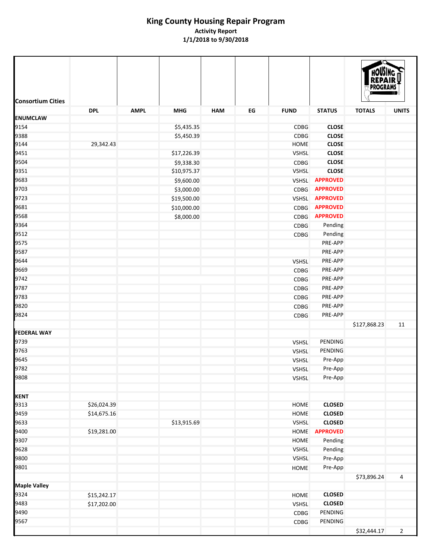| <b>Consortium Cities</b> | <b>DPL</b>  | <b>AMPL</b> | <b>MHG</b>  | <b>HAM</b> | EG | <b>FUND</b>  | <b>STATUS</b>   | <b>TOTALS</b> | <b>UNITS</b>   |  |  |
|--------------------------|-------------|-------------|-------------|------------|----|--------------|-----------------|---------------|----------------|--|--|
| <b>ENUMCLAW</b>          |             |             |             |            |    |              |                 |               |                |  |  |
| 9154                     |             |             | \$5,435.35  |            |    | CDBG         | <b>CLOSE</b>    |               |                |  |  |
| 9388                     |             |             | \$5,450.39  |            |    | <b>CDBG</b>  | <b>CLOSE</b>    |               |                |  |  |
| 9144                     | 29,342.43   |             |             |            |    | <b>HOME</b>  | <b>CLOSE</b>    |               |                |  |  |
| 9451                     |             |             | \$17,226.39 |            |    | <b>VSHSL</b> | <b>CLOSE</b>    |               |                |  |  |
| 9504                     |             |             | \$9,338.30  |            |    | CDBG         | <b>CLOSE</b>    |               |                |  |  |
| 9351                     |             |             | \$10,975.37 |            |    | <b>VSHSL</b> | <b>CLOSE</b>    |               |                |  |  |
| 9683                     |             |             | \$9,600.00  |            |    | <b>VSHSL</b> | <b>APPROVED</b> |               |                |  |  |
| 9703                     |             |             | \$3,000.00  |            |    | <b>CDBG</b>  | <b>APPROVED</b> |               |                |  |  |
| 9723                     |             |             | \$19,500.00 |            |    | <b>VSHSL</b> | <b>APPROVED</b> |               |                |  |  |
| 9681                     |             |             | \$10,000.00 |            |    | CDBG         | <b>APPROVED</b> |               |                |  |  |
| 9568                     |             |             | \$8,000.00  |            |    | CDBG         | <b>APPROVED</b> |               |                |  |  |
| 9364                     |             |             |             |            |    | <b>CDBG</b>  | Pending         |               |                |  |  |
| 9512                     |             |             |             |            |    | <b>CDBG</b>  | Pending         |               |                |  |  |
| 9575                     |             |             |             |            |    |              | PRE-APP         |               |                |  |  |
| 9587                     |             |             |             |            |    |              | PRE-APP         |               |                |  |  |
| 9644                     |             |             |             |            |    | <b>VSHSL</b> | PRE-APP         |               |                |  |  |
| 9669                     |             |             |             |            |    | <b>CDBG</b>  | PRE-APP         |               |                |  |  |
| 9742                     |             |             |             |            |    | CDBG         | PRE-APP         |               |                |  |  |
| 9787                     |             |             |             |            |    | CDBG         | PRE-APP         |               |                |  |  |
| 9783                     |             |             |             |            |    | CDBG         | PRE-APP         |               |                |  |  |
| 9820                     |             |             |             |            |    | CDBG         | PRE-APP         |               |                |  |  |
| 9824                     |             |             |             |            |    | CDBG         | PRE-APP         |               |                |  |  |
| <b>FEDERAL WAY</b>       |             |             |             |            |    |              |                 | \$127,868.23  | 11             |  |  |
| 9739                     |             |             |             |            |    | <b>VSHSL</b> | PENDING         |               |                |  |  |
| 9763                     |             |             |             |            |    | <b>VSHSL</b> | PENDING         |               |                |  |  |
| 9645                     |             |             |             |            |    | <b>VSHSL</b> | Pre-App         |               |                |  |  |
| 9782                     |             |             |             |            |    | <b>VSHSL</b> | Pre-App         |               |                |  |  |
| 9808                     |             |             |             |            |    | <b>VSHSL</b> | Pre-App         |               |                |  |  |
| <b>KENT</b>              |             |             |             |            |    |              |                 |               |                |  |  |
| 9313                     | \$26,024.39 |             |             |            |    | HOME         | <b>CLOSED</b>   |               |                |  |  |
| 9459                     | \$14,675.16 |             |             |            |    | HOME         | <b>CLOSED</b>   |               |                |  |  |
| 9633                     |             |             | \$13,915.69 |            |    | <b>VSHSL</b> | <b>CLOSED</b>   |               |                |  |  |
| 9400                     | \$19,281.00 |             |             |            |    | HOME         | <b>APPROVED</b> |               |                |  |  |
| 9307                     |             |             |             |            |    | HOME         | Pending         |               |                |  |  |
| 9628                     |             |             |             |            |    | VSHSL        | Pending         |               |                |  |  |
| 9800                     |             |             |             |            |    | VSHSL        | Pre-App         |               |                |  |  |
| 9801                     |             |             |             |            |    | HOME         | Pre-App         |               |                |  |  |
| <b>Maple Valley</b>      |             |             |             |            |    |              |                 | \$73,896.24   | 4              |  |  |
| 9324                     | \$15,242.17 |             |             |            |    | HOME         | <b>CLOSED</b>   |               |                |  |  |
| 9483                     | \$17,202.00 |             |             |            |    | <b>VSHSL</b> | <b>CLOSED</b>   |               |                |  |  |
| 9490                     |             |             |             |            |    | CDBG         | PENDING         |               |                |  |  |
| 9567                     |             |             |             |            |    | CDBG         | PENDING         |               |                |  |  |
|                          |             |             |             |            |    |              |                 | \$32,444.17   | $\overline{2}$ |  |  |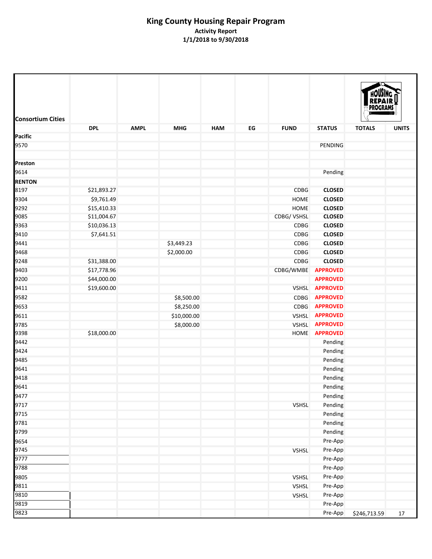|                          |             |             |             |            |    |              |                      | PROGRAI       |              |
|--------------------------|-------------|-------------|-------------|------------|----|--------------|----------------------|---------------|--------------|
| <b>Consortium Cities</b> | <b>DPL</b>  | <b>AMPL</b> | <b>MHG</b>  | <b>HAM</b> | EG | <b>FUND</b>  | <b>STATUS</b>        | <b>TOTALS</b> | <b>UNITS</b> |
| Pacific                  |             |             |             |            |    |              |                      |               |              |
| 9570                     |             |             |             |            |    |              | PENDING              |               |              |
| Preston                  |             |             |             |            |    |              |                      |               |              |
| 9614                     |             |             |             |            |    |              | Pending              |               |              |
| <b>RENTON</b>            |             |             |             |            |    |              |                      |               |              |
| 8197                     | \$21,893.27 |             |             |            |    | <b>CDBG</b>  | <b>CLOSED</b>        |               |              |
| 9304                     | \$9,761.49  |             |             |            |    | HOME         | <b>CLOSED</b>        |               |              |
| 9292                     | \$15,410.33 |             |             |            |    | HOME         | <b>CLOSED</b>        |               |              |
| 9085                     | \$11,004.67 |             |             |            |    | CDBG/VSHSL   | <b>CLOSED</b>        |               |              |
| 9363                     | \$10,036.13 |             |             |            |    | <b>CDBG</b>  | <b>CLOSED</b>        |               |              |
| 9410                     | \$7,641.51  |             |             |            |    | <b>CDBG</b>  | <b>CLOSED</b>        |               |              |
| 9441                     |             |             | \$3,449.23  |            |    | <b>CDBG</b>  | <b>CLOSED</b>        |               |              |
| 9468                     |             |             | \$2,000.00  |            |    | <b>CDBG</b>  | <b>CLOSED</b>        |               |              |
| 9248                     | \$31,388.00 |             |             |            |    | <b>CDBG</b>  | <b>CLOSED</b>        |               |              |
| 9403                     | \$17,778.96 |             |             |            |    | CDBG/WMBE    | <b>APPROVED</b>      |               |              |
| 9200                     | \$44,000.00 |             |             |            |    |              | <b>APPROVED</b>      |               |              |
| 9411                     | \$19,600.00 |             |             |            |    | <b>VSHSL</b> | <b>APPROVED</b>      |               |              |
| 9582                     |             |             | \$8,500.00  |            |    | <b>CDBG</b>  | <b>APPROVED</b>      |               |              |
| 9653                     |             |             | \$8,250.00  |            |    | CDBG         | <b>APPROVED</b>      |               |              |
| 9611                     |             |             | \$10,000.00 |            |    | VSHSL        | <b>APPROVED</b>      |               |              |
| 9785                     |             |             | \$8,000.00  |            |    | <b>VSHSL</b> | <b>APPROVED</b>      |               |              |
| 9398                     | \$18,000.00 |             |             |            |    |              | HOME <b>APPROVED</b> |               |              |
| 9442                     |             |             |             |            |    |              | Pending              |               |              |
| 9424                     |             |             |             |            |    |              | Pending              |               |              |
| 9485                     |             |             |             |            |    |              | Pending              |               |              |
| 9641                     |             |             |             |            |    |              | Pending              |               |              |
| 9418                     |             |             |             |            |    |              | Pending              |               |              |
| 9641                     |             |             |             |            |    |              | Pending              |               |              |
| 9477                     |             |             |             |            |    |              | Pending              |               |              |
| 9717                     |             |             |             |            |    | <b>VSHSL</b> | Pending              |               |              |
| 9715                     |             |             |             |            |    |              | Pending              |               |              |
| 9781                     |             |             |             |            |    |              |                      |               |              |
|                          |             |             |             |            |    |              | Pending              |               |              |
| 9799                     |             |             |             |            |    |              | Pending              |               |              |
| 9654                     |             |             |             |            |    |              | Pre-App              |               |              |
| 9745                     |             |             |             |            |    | <b>VSHSL</b> | Pre-App              |               |              |
| 9777                     |             |             |             |            |    |              | Pre-App              |               |              |
| 9788                     |             |             |             |            |    |              | Pre-App              |               |              |
| 9805                     |             |             |             |            |    | <b>VSHSL</b> | Pre-App              |               |              |
| 9811                     |             |             |             |            |    | VSHSL        | Pre-App              |               |              |
| 9810                     |             |             |             |            |    | <b>VSHSL</b> | Pre-App              |               |              |
| 9819                     |             |             |             |            |    |              | Pre-App              |               |              |
| 9823                     |             |             |             |            |    |              | Pre-App              | \$246,713.59  | 17           |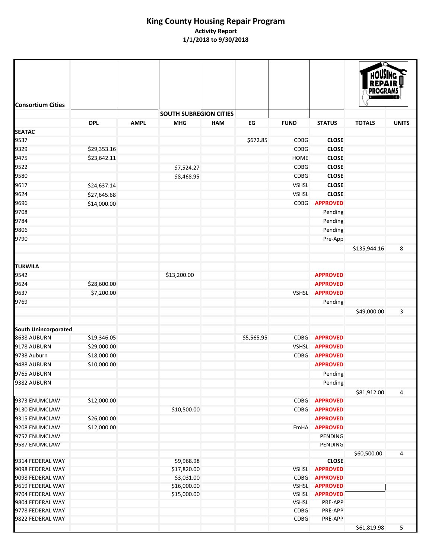| <b>Consortium Cities</b>             |             |             |                               |            |            |                     |                    |               |              |
|--------------------------------------|-------------|-------------|-------------------------------|------------|------------|---------------------|--------------------|---------------|--------------|
|                                      |             |             | <b>SOUTH SUBREGION CITIES</b> |            |            |                     |                    |               |              |
|                                      | <b>DPL</b>  | <b>AMPL</b> | <b>MHG</b>                    | <b>HAM</b> | EG         | <b>FUND</b>         | <b>STATUS</b>      | <b>TOTALS</b> | <b>UNITS</b> |
| <b>SEATAC</b>                        |             |             |                               |            |            |                     |                    |               |              |
| 9537                                 |             |             |                               |            | \$672.85   | <b>CDBG</b>         | <b>CLOSE</b>       |               |              |
| 9329                                 | \$29,353.16 |             |                               |            |            | <b>CDBG</b>         | <b>CLOSE</b>       |               |              |
| 9475                                 | \$23,642.11 |             |                               |            |            | HOME                | <b>CLOSE</b>       |               |              |
| 9522                                 |             |             | \$7,524.27                    |            |            | <b>CDBG</b>         | <b>CLOSE</b>       |               |              |
| 9580                                 |             |             | \$8,468.95                    |            |            | <b>CDBG</b>         | <b>CLOSE</b>       |               |              |
| 9617                                 | \$24,637.14 |             |                               |            |            | <b>VSHSL</b>        | <b>CLOSE</b>       |               |              |
| 9624                                 | \$27,645.68 |             |                               |            |            | <b>VSHSL</b>        | <b>CLOSE</b>       |               |              |
| 9696                                 | \$14,000.00 |             |                               |            |            | <b>CDBG</b>         | <b>APPROVED</b>    |               |              |
| 9708                                 |             |             |                               |            |            |                     | Pending            |               |              |
| 9784                                 |             |             |                               |            |            |                     | Pending            |               |              |
| 9806                                 |             |             |                               |            |            |                     | Pending            |               |              |
| 9790                                 |             |             |                               |            |            |                     | Pre-App            |               |              |
|                                      |             |             |                               |            |            |                     |                    | \$135,944.16  | 8            |
| <b>TUKWILA</b>                       |             |             |                               |            |            |                     |                    |               |              |
| 9542                                 |             |             | \$13,200.00                   |            |            |                     | <b>APPROVED</b>    |               |              |
| 9624                                 | \$28,600.00 |             |                               |            |            |                     | <b>APPROVED</b>    |               |              |
| 9637                                 | \$7,200.00  |             |                               |            |            | <b>VSHSL</b>        | <b>APPROVED</b>    |               |              |
| 9769                                 |             |             |                               |            |            |                     | Pending            |               |              |
|                                      |             |             |                               |            |            |                     |                    | \$49,000.00   | 3            |
| South Unincorporated                 |             |             |                               |            |            |                     |                    |               |              |
| 8638 AUBURN                          | \$19,346.05 |             |                               |            | \$5,565.95 | <b>CDBG</b>         | <b>APPROVED</b>    |               |              |
| 9178 AUBURN                          | \$29,000.00 |             |                               |            |            | <b>VSHSL</b>        | <b>APPROVED</b>    |               |              |
| 9738 Auburn                          | \$18,000.00 |             |                               |            |            | CDBG                | <b>APPROVED</b>    |               |              |
| 9488 AUBURN                          | \$10,000.00 |             |                               |            |            |                     | <b>APPROVED</b>    |               |              |
| 9765 AUBURN                          |             |             |                               |            |            |                     | Pending            |               |              |
| 9382 AUBURN                          |             |             |                               |            |            |                     | Pending            | \$81,912.00   | 4            |
| 9373 ENUMCLAW                        | \$12,000.00 |             |                               |            |            | <b>CDBG</b>         | <b>APPROVED</b>    |               |              |
| 9130 ENUMCLAW                        |             |             | \$10,500.00                   |            |            | <b>CDBG</b>         | <b>APPROVED</b>    |               |              |
| 9315 ENUMCLAW                        | \$26,000.00 |             |                               |            |            |                     | <b>APPROVED</b>    |               |              |
| 9208 ENUMCLAW                        | \$12,000.00 |             |                               |            |            |                     | FmHA APPROVED      |               |              |
| 9752 ENUMCLAW                        |             |             |                               |            |            |                     | <b>PENDING</b>     |               |              |
| 9587 ENUMCLAW                        |             |             |                               |            |            |                     | PENDING            |               |              |
|                                      |             |             |                               |            |            |                     |                    | \$60,500.00   | 4            |
| 9314 FEDERAL WAY                     |             |             | \$9,968.98                    |            |            |                     | <b>CLOSE</b>       |               |              |
| 9098 FEDERAL WAY                     |             |             | \$17,820.00                   |            |            | <b>VSHSL</b>        | <b>APPROVED</b>    |               |              |
| 9098 FEDERAL WAY                     |             |             | \$3,031.00                    |            |            | <b>CDBG</b>         | <b>APPROVED</b>    |               |              |
| 9619 FEDERAL WAY                     |             |             | \$16,000.00                   |            |            | <b>VSHSL</b>        | <b>APPROVED</b>    |               |              |
| 9704 FEDERAL WAY                     |             |             | \$15,000.00                   |            |            | <b>VSHSL</b>        | <b>APPROVED</b>    |               |              |
| 9804 FEDERAL WAY                     |             |             |                               |            |            | <b>VSHSL</b>        | PRE-APP            |               |              |
| 9778 FEDERAL WAY<br>9822 FEDERAL WAY |             |             |                               |            |            | CDBG<br><b>CDBG</b> | PRE-APP<br>PRE-APP |               |              |
|                                      |             |             |                               |            |            |                     |                    | \$61,819.98   | 5            |
|                                      |             |             |                               |            |            |                     |                    |               |              |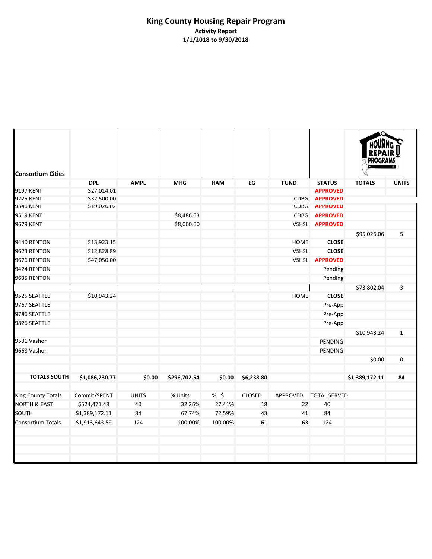| <b>Consortium Cities</b>  |                |              |              |            |               |              |                     |                |              |
|---------------------------|----------------|--------------|--------------|------------|---------------|--------------|---------------------|----------------|--------------|
|                           | <b>DPL</b>     | <b>AMPL</b>  | <b>MHG</b>   | <b>HAM</b> | EG            | <b>FUND</b>  | <b>STATUS</b>       | <b>TOTALS</b>  | <b>UNITS</b> |
| <b>9197 KENT</b>          | \$27,014.01    |              |              |            |               |              | <b>APPROVED</b>     |                |              |
| <b>9225 KENT</b>          | \$32,500.00    |              |              |            |               | <b>CDBG</b>  | <b>APPROVED</b>     |                |              |
| 9346 KENT                 | \$19,026.02    |              |              |            |               | <b>CDBG</b>  | <b>APPROVED</b>     |                |              |
| <b>9519 KENT</b>          |                |              | \$8,486.03   |            |               | <b>CDBG</b>  | <b>APPROVED</b>     |                |              |
| 9679 KENT                 |                |              | \$8,000.00   |            |               |              | VSHSL APPROVED      |                |              |
|                           |                |              |              |            |               |              |                     | \$95,026.06    | 5            |
| 9440 RENTON               | \$13,923.15    |              |              |            |               | <b>HOME</b>  | <b>CLOSE</b>        |                |              |
| 9623 RENTON               | \$12,828.89    |              |              |            |               | <b>VSHSL</b> | <b>CLOSE</b>        |                |              |
| 9676 RENTON               | \$47,050.00    |              |              |            |               | <b>VSHSL</b> | <b>APPROVED</b>     |                |              |
| 9424 RENTON               |                |              |              |            |               |              | Pending             |                |              |
| 9635 RENTON               |                |              |              |            |               |              | Pending             |                |              |
|                           |                |              |              |            |               |              |                     | \$73,802.04    | 3            |
| 9525 SEATTLE              | \$10,943.24    |              |              |            |               | HOME         | <b>CLOSE</b>        |                |              |
| 9767 SEATTLE              |                |              |              |            |               |              | Pre-App             |                |              |
| 9786 SEATTLE              |                |              |              |            |               |              | Pre-App             |                |              |
| 9826 SEATTLE              |                |              |              |            |               |              | Pre-App             |                |              |
|                           |                |              |              |            |               |              |                     | \$10,943.24    | $\mathbf{1}$ |
| 9531 Vashon               |                |              |              |            |               |              | <b>PENDING</b>      |                |              |
| 9668 Vashon               |                |              |              |            |               |              | <b>PENDING</b>      |                |              |
|                           |                |              |              |            |               |              |                     | \$0.00         | 0            |
|                           |                |              |              |            |               |              |                     |                |              |
| <b>TOTALS SOUTH</b>       | \$1,086,230.77 | \$0.00       | \$296,702.54 | \$0.00     | \$6,238.80    |              |                     | \$1,389,172.11 | 84           |
| <b>King County Totals</b> | Commit/SPENT   | <b>UNITS</b> | % Units      | %5         | <b>CLOSED</b> | APPROVED     | <b>TOTAL SERVED</b> |                |              |
| <b>NORTH &amp; EAST</b>   | \$524,471.48   | 40           | 32.26%       | 27.41%     | 18            | 22           | 40                  |                |              |
| SOUTH                     | \$1,389,172.11 | 84           | 67.74%       | 72.59%     | 43            | 41           | 84                  |                |              |
| <b>Consortium Totals</b>  | \$1,913,643.59 | 124          | 100.00%      | 100.00%    | 61            | 63           | 124                 |                |              |
|                           |                |              |              |            |               |              |                     |                |              |
|                           |                |              |              |            |               |              |                     |                |              |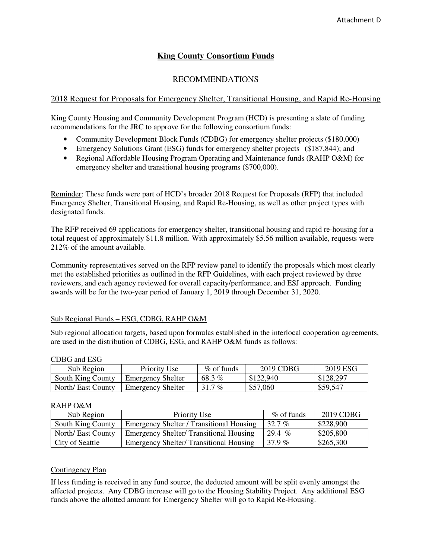## **King County Consortium Funds**

## RECOMMENDATIONS

## <span id="page-27-0"></span>2018 Request for Proposals for Emergency Shelter, Transitional Housing, and Rapid Re-Housing

King County Housing and Community Development Program (HCD) is presenting a slate of funding recommendations for the JRC to approve for the following consortium funds:

- Community Development Block Funds (CDBG) for emergency shelter projects (\$180,000)
- Emergency Solutions Grant (ESG) funds for emergency shelter projects (\$187,844); and
- Regional Affordable Housing Program Operating and Maintenance funds (RAHP O&M) for emergency shelter and transitional housing programs (\$700,000).

Reminder: These funds were part of HCD's broader 2018 Request for Proposals (RFP) that included Emergency Shelter, Transitional Housing, and Rapid Re-Housing, as well as other project types with designated funds.

The RFP received 69 applications for emergency shelter, transitional housing and rapid re-housing for a total request of approximately \$11.8 million. With approximately \$5.56 million available, requests were 212% of the amount available.

Community representatives served on the RFP review panel to identify the proposals which most clearly met the established priorities as outlined in the RFP Guidelines, with each project reviewed by three reviewers, and each agency reviewed for overall capacity/performance, and ESJ approach. Funding awards will be for the two-year period of January 1, 2019 through December 31, 2020.

## Sub Regional Funds – ESG, CDBG, RAHP O&M

Sub regional allocation targets, based upon formulas established in the interlocal cooperation agreements, are used in the distribution of CDBG, ESG, and RAHP O&M funds as follows:

| CDDU and LOU       |                          |              |           |           |  |  |  |  |  |  |  |
|--------------------|--------------------------|--------------|-----------|-----------|--|--|--|--|--|--|--|
| Sub Region         | Priority Use             | $%$ of funds | 2019 CDBG | 2019 ESG  |  |  |  |  |  |  |  |
| South King County  | <b>Emergency Shelter</b> | 68.3%        | \$122,940 | \$128,297 |  |  |  |  |  |  |  |
| North/ East County | <b>Emergency Shelter</b> | 31.7 $%$     | \$57,060  | \$59,547  |  |  |  |  |  |  |  |

## CDBG and ESG

#### RAHP O&M

| Sub Region         | Priority Use                                   | $\%$ of funds | 2019 CDBG |
|--------------------|------------------------------------------------|---------------|-----------|
| South King County  | Emergency Shelter / Transitional Housing       | 32.7%         | \$228,900 |
| North/ East County | <b>Emergency Shelter/Transitional Housing</b>  | 29.4 $%$      | \$205,800 |
| City of Seattle    | <b>Emergency Shelter/ Transitional Housing</b> | 37.9 $%$      | \$265,300 |

### Contingency Plan

If less funding is received in any fund source, the deducted amount will be split evenly amongst the affected projects. Any CDBG increase will go to the Housing Stability Project. Any additional ESG funds above the allotted amount for Emergency Shelter will go to Rapid Re-Housing.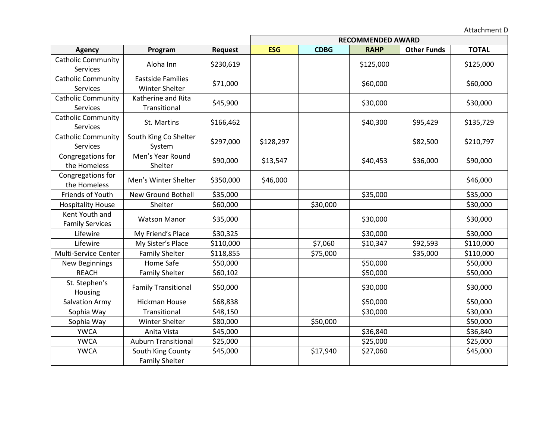Attachment D

|                                              |                                            |           | <b>RECOMMENDED AWARD</b> |             |             |                    |              |  |
|----------------------------------------------|--------------------------------------------|-----------|--------------------------|-------------|-------------|--------------------|--------------|--|
| <b>Agency</b>                                | Program                                    | Request   | <b>ESG</b>               | <b>CDBG</b> | <b>RAHP</b> | <b>Other Funds</b> | <b>TOTAL</b> |  |
| <b>Catholic Community</b><br>Services        | Aloha Inn                                  | \$230,619 |                          |             | \$125,000   |                    | \$125,000    |  |
| <b>Catholic Community</b><br><b>Services</b> | <b>Eastside Families</b><br>Winter Shelter | \$71,000  |                          |             | \$60,000    |                    | \$60,000     |  |
| <b>Catholic Community</b><br>Services        | Katherine and Rita<br>Transitional         | \$45,900  |                          |             | \$30,000    |                    | \$30,000     |  |
| <b>Catholic Community</b><br>Services        | St. Martins                                | \$166,462 |                          |             | \$40,300    | \$95,429           | \$135,729    |  |
| <b>Catholic Community</b><br>Services        | South King Co Shelter<br>System            | \$297,000 | \$128,297                |             |             | \$82,500           | \$210,797    |  |
| Congregations for<br>the Homeless            | Men's Year Round<br>Shelter                | \$90,000  | \$13,547                 |             | \$40,453    | \$36,000           | \$90,000     |  |
| Congregations for<br>the Homeless            | Men's Winter Shelter                       | \$350,000 | \$46,000                 |             |             |                    | \$46,000     |  |
| Friends of Youth                             | <b>New Ground Bothell</b>                  | \$35,000  |                          |             | \$35,000    |                    | \$35,000     |  |
| <b>Hospitality House</b>                     | Shelter                                    | \$60,000  |                          | \$30,000    |             |                    | \$30,000     |  |
| Kent Youth and<br><b>Family Services</b>     | <b>Watson Manor</b>                        | \$35,000  |                          |             | \$30,000    |                    | \$30,000     |  |
| Lifewire                                     | My Friend's Place                          | \$30,325  |                          |             | \$30,000    |                    | \$30,000     |  |
| Lifewire                                     | My Sister's Place                          | \$110,000 |                          | \$7,060     | \$10,347    | \$92,593           | \$110,000    |  |
| Multi-Service Center                         | <b>Family Shelter</b>                      | \$118,855 |                          | \$75,000    |             | \$35,000           | \$110,000    |  |
| New Beginnings                               | Home Safe                                  | \$50,000  |                          |             | \$50,000    |                    | \$50,000     |  |
| <b>REACH</b>                                 | <b>Family Shelter</b>                      | \$60,102  |                          |             | \$50,000    |                    | \$50,000     |  |
| St. Stephen's<br>Housing                     | <b>Family Transitional</b>                 | \$50,000  |                          |             | \$30,000    |                    | \$30,000     |  |
| <b>Salvation Army</b>                        | <b>Hickman House</b>                       | \$68,838  |                          |             | \$50,000    |                    | \$50,000     |  |
| Sophia Way                                   | Transitional                               | \$48,150  |                          |             | \$30,000    |                    | \$30,000     |  |
| Sophia Way                                   | Winter Shelter                             | \$80,000  |                          | \$50,000    |             |                    | \$50,000     |  |
| <b>YWCA</b>                                  | Anita Vista                                | \$45,000  |                          |             | \$36,840    |                    | \$36,840     |  |
| <b>YWCA</b>                                  | <b>Auburn Transitional</b>                 | \$25,000  |                          |             | \$25,000    |                    | \$25,000     |  |
| <b>YWCA</b>                                  | South King County<br><b>Family Shelter</b> | \$45,000  |                          | \$17,940    | \$27,060    |                    | \$45,000     |  |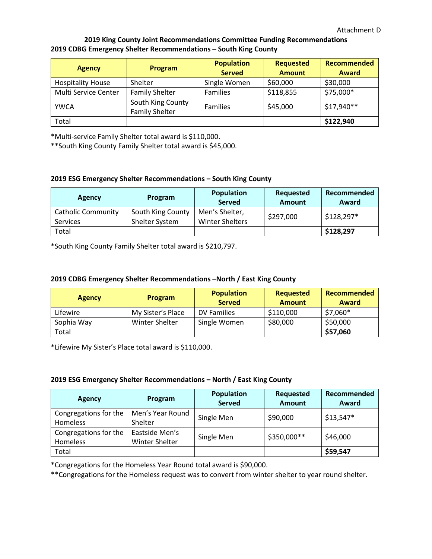## **2019 King County Joint Recommendations Committee Funding Recommendations 2019 CDBG Emergency Shelter Recommendations – South King County**

| <b>Agency</b>            | <b>Program</b>                             | <b>Population</b><br><b>Served</b> | <b>Requested</b><br><b>Amount</b> | <b>Recommended</b><br>Award |
|--------------------------|--------------------------------------------|------------------------------------|-----------------------------------|-----------------------------|
| <b>Hospitality House</b> | Shelter                                    | Single Women                       | \$60,000                          | \$30,000                    |
| Multi Service Center     | <b>Family Shelter</b>                      | <b>Families</b>                    | \$118,855                         | \$75,000*                   |
| <b>YWCA</b>              | South King County<br><b>Family Shelter</b> | Families                           | \$45,000                          | \$17,940**                  |
| Total                    |                                            |                                    |                                   | \$122,940                   |

\*Multi-service Family Shelter total award is \$110,000.

\*\*South King County Family Shelter total award is \$45,000.

## **2019 ESG Emergency Shelter Recommendations – South King County**

| <b>Agency</b>                                | Program                             | <b>Population</b><br><b>Served</b>       | Requested<br>Amount | Recommended<br>Award |
|----------------------------------------------|-------------------------------------|------------------------------------------|---------------------|----------------------|
| <b>Catholic Community</b><br><b>Services</b> | South King County<br>Shelter System | Men's Shelter,<br><b>Winter Shelters</b> | \$297,000           | \$128,297*           |
| Total                                        |                                     |                                          |                     | \$128,297            |

\*South King County Family Shelter total award is \$210,797.

### **2019 CDBG Emergency Shelter Recommendations –North / East King County**

| <b>Agency</b> | Program           | <b>Population</b><br><b>Served</b> | Requested<br><b>Amount</b> | Recommended<br>Award |
|---------------|-------------------|------------------------------------|----------------------------|----------------------|
| Lifewire      | My Sister's Place | DV Families                        | \$110,000                  | $$7,060*$            |
| Sophia Way    | Winter Shelter    | Single Women                       | \$80,000                   | \$50,000             |
| Total         |                   |                                    |                            | \$57,060             |

\*Lifewire My Sister's Place total award is \$110,000.

#### **2019 ESG Emergency Shelter Recommendations – North / East King County**

| <b>Agency</b>                     | Program                          | <b>Population</b><br><b>Served</b> | Requested<br><b>Amount</b> | Recommended<br>Award |
|-----------------------------------|----------------------------------|------------------------------------|----------------------------|----------------------|
| Congregations for the<br>Homeless | Men's Year Round<br>Shelter      | Single Men                         | \$90,000                   | $$13,547*$           |
| Congregations for the<br>Homeless | Eastside Men's<br>Winter Shelter | Single Men                         | \$350,000**                | \$46,000             |
| Total                             |                                  |                                    |                            | \$59,547             |

\*Congregations for the Homeless Year Round total award is \$90,000.

\*\*Congregations for the Homeless request was to convert from winter shelter to year round shelter.